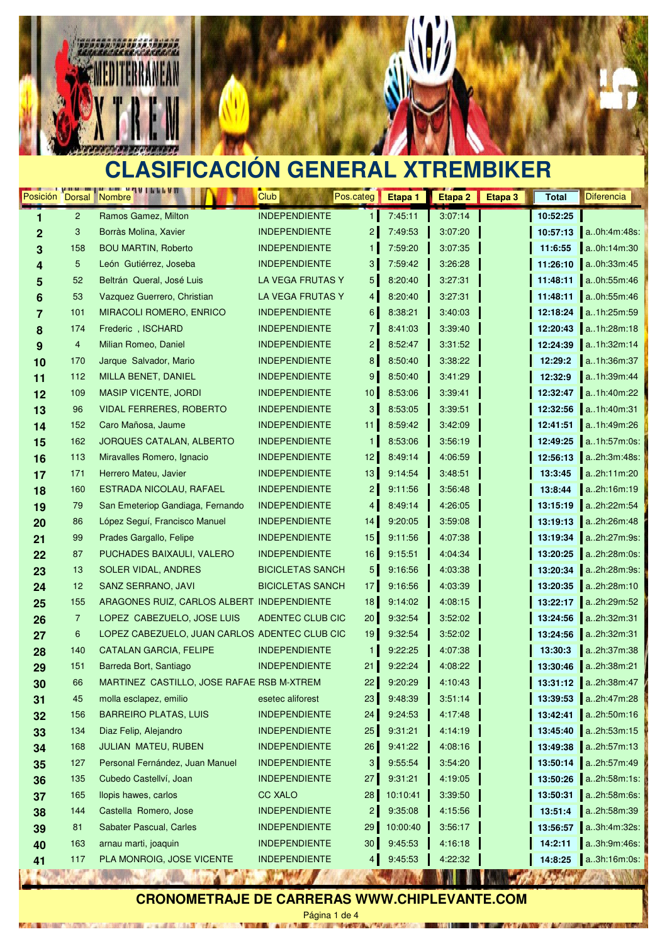

MOTOR/FINAL LO

 $-4.3635$ 



### **CLASIFICACIÓN GENERAL XTREMBIKER**

| Posición Dorsal Nombre |                 | home and a ran not a little all               | Club                                           | Pos.categ       | Etapa 1  | Etapa 2 | Etapa 3 | <b>Total</b> | <b>Diferencia</b>                                                                                                                                                                                                                                   |
|------------------------|-----------------|-----------------------------------------------|------------------------------------------------|-----------------|----------|---------|---------|--------------|-----------------------------------------------------------------------------------------------------------------------------------------------------------------------------------------------------------------------------------------------------|
| 1                      | $\overline{2}$  | Ramos Gamez, Milton                           | <b>INDEPENDIENTE</b>                           | $\mathbf{1}$    | 7:45:11  | 3:07:14 |         | 10:52:25     |                                                                                                                                                                                                                                                     |
| $\mathbf{2}$           | 3               | Borràs Molina, Xavier                         | <b>INDEPENDIENTE</b>                           | $\overline{2}$  | 7:49:53  | 3:07:20 |         | 10:57:13     | $a.0h:4m:48s$ :                                                                                                                                                                                                                                     |
| 3                      | 158             | <b>BOU MARTIN, Roberto</b>                    | <b>INDEPENDIENTE</b>                           | 1               | 7:59:20  | 3:07:35 |         | 11:6:55      | a0h:14m:30                                                                                                                                                                                                                                          |
| 4                      | $5\phantom{.0}$ | León Gutiérrez, Joseba                        | <b>INDEPENDIENTE</b>                           | 3 <sup>1</sup>  | 7:59:42  | 3:26:28 |         | 11:26:10     | a0h:33m:45                                                                                                                                                                                                                                          |
| 5                      | 52              | Beltrán Queral, José Luis                     | LA VEGA FRUTAS Y                               | 5 <sub>1</sub>  | 8:20:40  | 3:27:31 |         | 11:48:11     | a0h:55m:46                                                                                                                                                                                                                                          |
| 6                      | 53              | Vazquez Guerrero, Christian                   | LA VEGA FRUTAS Y                               | $\overline{4}$  | 8:20:40  | 3:27:31 |         | 11:48:11     | a0h:55m:46                                                                                                                                                                                                                                          |
| $\overline{7}$         | 101             | <b>MIRACOLI ROMERO, ENRICO</b>                | <b>INDEPENDIENTE</b>                           | 6 <sup>1</sup>  | 8:38:21  | 3:40:03 |         | 12:18:24     | a1h:25m:59                                                                                                                                                                                                                                          |
| 8                      | 174             | Frederic, ISCHARD                             | <b>INDEPENDIENTE</b>                           | $\overline{7}$  | 8:41:03  | 3:39:40 |         | 12:20:43     | a1h:28m:18                                                                                                                                                                                                                                          |
| 9                      | 4               | Milian Romeo, Daniel                          | <b>INDEPENDIENTE</b>                           | 2 <sub>1</sub>  | 8:52:47  | 3:31:52 |         | 12:24:39     | a1h:32m:14                                                                                                                                                                                                                                          |
| 10                     | 170             | Jarque Salvador, Mario                        | <b>INDEPENDIENTE</b>                           | 8 <sup>1</sup>  | 8:50:40  | 3:38:22 |         | 12:29:2      | a1h:36m:37                                                                                                                                                                                                                                          |
| 11                     | 112             | MILLA BENET, DANIEL                           | <b>INDEPENDIENTE</b>                           | $9\,$           | 8:50:40  | 3:41:29 |         | 12:32:9      | a1h:39m:44                                                                                                                                                                                                                                          |
| 12                     | 109             | <b>MASIP VICENTE, JORDI</b>                   | <b>INDEPENDIENTE</b>                           | 10 <sup>1</sup> | 8:53:06  | 3:39:41 |         | 12:32:47     | a1h:40m:22                                                                                                                                                                                                                                          |
| 13                     | 96              | <b>VIDAL FERRERES, ROBERTO</b>                | <b>INDEPENDIENTE</b>                           | 3 <sup>1</sup>  | 8:53:05  | 3:39:51 |         | 12:32:56     | a1h:40m:31                                                                                                                                                                                                                                          |
| 14                     | 152             | Caro Mañosa, Jaume                            | <b>INDEPENDIENTE</b>                           | 11              | 8:59:42  | 3:42:09 |         | 12:41:51     | a1h:49m:26                                                                                                                                                                                                                                          |
| 15                     | 162             | JORQUES CATALAN, ALBERTO                      | <b>INDEPENDIENTE</b>                           | 1               | 8:53:06  | 3:56:19 |         | 12:49:25     | a1h:57m:0s:                                                                                                                                                                                                                                         |
| 16                     | 113             | Miravalles Romero, Ignacio                    | <b>INDEPENDIENTE</b>                           | 12 <sup>°</sup> | 8:49:14  | 4:06:59 |         | 12:56:13     | a2h:3m:48s:                                                                                                                                                                                                                                         |
| 17                     | 171             | Herrero Mateu, Javier                         | <b>INDEPENDIENTE</b>                           | 13              | 9:14:54  | 3:48:51 |         | 13:3:45      | a2h:11m:20                                                                                                                                                                                                                                          |
| 18                     | 160             | ESTRADA NICOLAU, RAFAEL                       | <b>INDEPENDIENTE</b>                           | 2 <sub>1</sub>  | 9:11:56  | 3:56:48 |         | 13:8:44      | a2h:16m:19                                                                                                                                                                                                                                          |
| 19                     | 79              | San Emeteriop Gandiaga, Fernando              | <b>INDEPENDIENTE</b>                           | $\overline{4}$  | 8:49:14  | 4:26:05 |         | 13:15:19     | a2h:22m:54                                                                                                                                                                                                                                          |
| 20                     | 86              | López Seguí, Francisco Manuel                 | <b>INDEPENDIENTE</b>                           | 14              | 9:20:05  | 3:59:08 |         | 13:19:13     | a2h:26m:48                                                                                                                                                                                                                                          |
| 21                     | 99              | Prades Gargallo, Felipe                       | <b>INDEPENDIENTE</b>                           | 15              | 9:11:56  | 4:07:38 |         | 13:19:34     | a2h:27m:9s:                                                                                                                                                                                                                                         |
| 22                     | 87              | PUCHADES BAIXAULI, VALERO                     | <b>INDEPENDIENTE</b>                           | 16              | 9:15:51  | 4:04:34 |         | 13:20:25     | a2h:28m:0s:                                                                                                                                                                                                                                         |
| 23                     | 13              | <b>SOLER VIDAL, ANDRES</b>                    | <b>BICICLETAS SANCH</b>                        | 5 <sup>1</sup>  | 9:16:56  | 4:03:38 |         | 13:20:34     | a2h:28m:9s:                                                                                                                                                                                                                                         |
| 24                     | 12              | SANZ SERRANO, JAVI                            | <b>BICICLETAS SANCH</b>                        | 17 <sub>2</sub> | 9:16:56  | 4:03:39 |         | 13:20:35     | a2h:28m:10                                                                                                                                                                                                                                          |
| 25                     | 155             | ARAGONES RUIZ, CARLOS ALBERT INDEPENDIENTE    |                                                | 18              | 9:14:02  | 4:08:15 |         | 13:22:17     | a2h:29m:52                                                                                                                                                                                                                                          |
| 26                     | $\overline{7}$  | LOPEZ CABEZUELO, JOSE LUIS                    | ADENTEC CLUB CIC                               | 20              | 9:32:54  | 3:52:02 |         | 13:24:56     | a2h:32m:31                                                                                                                                                                                                                                          |
| 27                     | 6               | LOPEZ CABEZUELO, JUAN CARLOS ADENTEC CLUB CIC |                                                | 19              | 9:32:54  | 3:52:02 |         | 13:24:56     | a2h:32m:31                                                                                                                                                                                                                                          |
| 28                     | 140             | <b>CATALAN GARCIA, FELIPE</b>                 | <b>INDEPENDIENTE</b>                           | 1 <sup>1</sup>  | 9:22:25  | 4:07:38 |         | 13:30:3      | a2h:37m:38                                                                                                                                                                                                                                          |
| 29                     | 151             | Barreda Bort, Santiago                        | <b>INDEPENDIENTE</b>                           | 21              | 9:22:24  | 4:08:22 |         | 13:30:46     | a2h:38m:21                                                                                                                                                                                                                                          |
| 30                     | 66              | MARTINEZ CASTILLO, JOSE RAFAE RSB M-XTREM     |                                                | 22              | 9:20:29  | 4:10:43 |         | 13:31:12     | a2h:38m:47                                                                                                                                                                                                                                          |
| 31                     | 45              | molla esclapez, emilio                        | esetec aliforest                               | 23              | 9:48:39  | 3:51:14 |         | 13:39:53     | a2h:47m:28                                                                                                                                                                                                                                          |
| 32                     | 156             | <b>BARREIRO PLATAS, LUIS</b>                  | <b>INDEPENDIENTE</b>                           | 24              | 9:24:53  | 4:17:48 |         | 13:42:41     | a2h:50m:16                                                                                                                                                                                                                                          |
| 33                     | 134             | Diaz Felip, Alejandro                         | <b>INDEPENDIENTE</b>                           | 25 <sub>1</sub> | 9:31:21  | 4:14:19 |         | 13:45:40     | a2h:53m:15                                                                                                                                                                                                                                          |
| 34                     | 168             | JULIAN MATEU, RUBEN                           | <b>INDEPENDIENTE</b>                           | 26              | 9:41:22  | 4:08:16 |         | 13:49:38     | a.2h:57m:13                                                                                                                                                                                                                                         |
| 35                     | 127             | Personal Fernández, Juan Manuel               | <b>INDEPENDIENTE</b>                           | $\mathbf{3}$    | 9:55:54  | 3:54:20 |         | 13:50:14     | a2h:57m:49                                                                                                                                                                                                                                          |
| 36                     | 135             | Cubedo Castellví, Joan                        | <b>INDEPENDIENTE</b>                           | 27              | 9:31:21  | 4:19:05 |         | 13:50:26     | a2h:58m:1s:                                                                                                                                                                                                                                         |
| 37                     | 165             | llopis hawes, carlos                          | CC XALO                                        | 28              | 10:10:41 | 3:39:50 |         | 13:50:31     | a2h:58m:6s:                                                                                                                                                                                                                                         |
| 38                     | 144             | Castella Romero, Jose                         | <b>INDEPENDIENTE</b>                           | 2 <sub>1</sub>  | 9:35:08  | 4:15:56 |         | 13:51:4      | a2h:58m:39                                                                                                                                                                                                                                          |
| 39                     | 81              | <b>Sabater Pascual, Carles</b>                | <b>INDEPENDIENTE</b>                           | 29              | 10:00:40 | 3:56:17 |         | 13:56:57     | a3h:4m:32s:                                                                                                                                                                                                                                         |
| 40                     | 163             | arnau marti, joaquin                          | <b>INDEPENDIENTE</b>                           | 30 <sub>o</sub> | 9:45:53  | 4:16:18 |         | 14:2:11      | a3h:9m:46s:                                                                                                                                                                                                                                         |
| 41<br>$A \cup B$       | 117             | PLA MONROIG, JOSE VICENTE                     | <b>INDEPENDIENTE</b><br><b>NIT THE COMPANY</b> | 4 <sup>1</sup>  | 9:45:53  | 4:22:32 |         | 14:8:25      | a3h:16m:0s:<br><b>IN THE REPORT OF A PARTIES OF A REPORT OF A PARTIES OF A REPORT OF A PARTIES OF A REPORT OF A PARTIES OF A REPORT OF A REPORT OF A REPORT OF A REPORT OF A REPORT OF A REPORT OF A REPORT OF A REPORT OF A REPORT OF A REPORT</b> |

### **CRONOMETRAJE DE CARRERAS WWW.CHIPLEVANTE.COM**

Página 1 de 4

**ANGELES**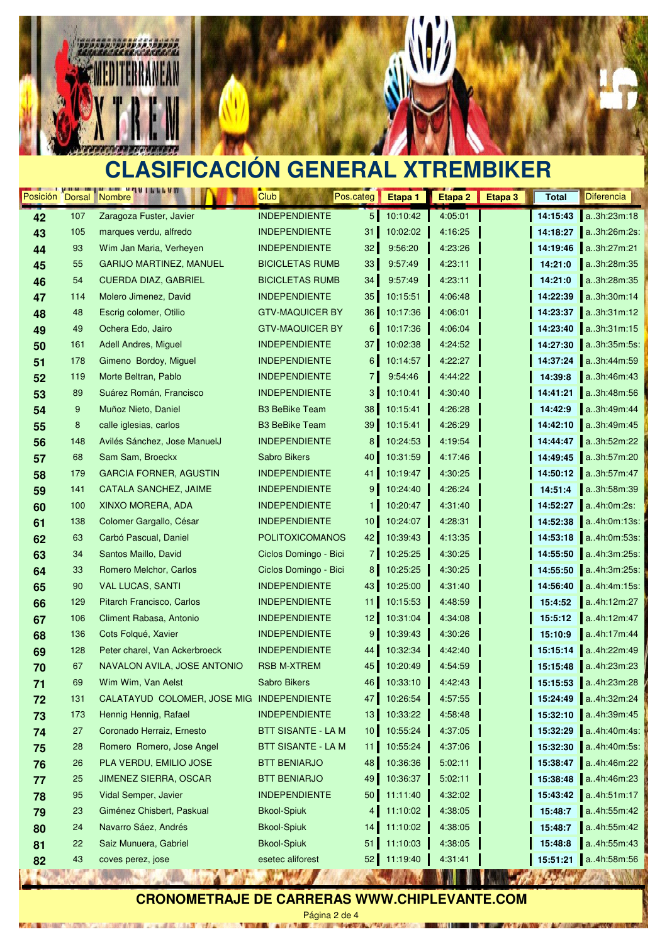

MOTOR/FINAL LO

 $-4.0007$ 



## **CLASIFICACIÓN GENERAL XTREMBIKER**

| <b>INDEPENDIENTE</b><br>5 <sub>5</sub><br>10:10:42<br>4:05:01<br>Zaragoza Fuster, Javier<br>14:15:43<br>a3h:23m:18<br>107<br>42<br>105<br><b>INDEPENDIENTE</b><br>31<br>10:02:02<br>4:16:25<br>14:18:27<br>a3h:26m:2s:<br>43<br>marques verdu, alfredo<br>a3h:27m:21<br>93<br><b>INDEPENDIENTE</b><br>32 <sub>1</sub><br>9:56:20<br>4:23:26<br>Wim Jan Maria, Verheyen<br>14:19:46<br>44<br>33<br>a3h:28m:35<br>55<br><b>GARIJO MARTINEZ, MANUEL</b><br><b>BICICLETAS RUMB</b><br>9:57:49<br>14:21:0<br>4:23:11<br>45<br>54<br><b>CUERDA DIAZ, GABRIEL</b><br><b>BICICLETAS RUMB</b><br>34<br>14:21:0<br>a3h:28m:35<br>9:57:49<br>4:23:11<br>46<br>35 <sup>°</sup><br>Molero Jimenez, David<br><b>INDEPENDIENTE</b><br>10:15:51<br>14:22:39<br>a.3h:30m:14<br>114<br>4:06:48<br>47<br>36<br>a3h:31m:12<br>48<br>Escrig colomer, Otilio<br><b>GTV-MAQUICER BY</b><br>14:23:37<br>10:17:36<br>4:06:01<br>48<br>a3h:31m:15<br>49<br>Ochera Edo, Jairo<br><b>GTV-MAQUICER BY</b><br>6 <sup>1</sup><br>10:17:36<br>14:23:40<br>4:06:04<br>49<br>37<br>161<br><b>INDEPENDIENTE</b><br>10:02:38<br>14:27:30<br>a.3h:35m:5s:<br>Adell Andres, Miguel<br>4:24:52<br>50<br>178<br>Gimeno Bordoy, Miguel<br><b>INDEPENDIENTE</b><br>$6 \mid$<br>10:14:57<br>14:37:24<br>a3h:44m:59<br>4:22:27<br>51<br>7 <sup>1</sup><br><b>INDEPENDIENTE</b><br>9:54:46<br>14:39:8<br>a3h:46m:43<br>119<br>Morte Beltran, Pablo<br>4:44:22<br>52<br>3 <sup>1</sup><br>89<br><b>INDEPENDIENTE</b><br>a3h:48m:56<br>Suárez Román, Francisco<br>10:10:41<br>4:30:40<br>14:41:21<br>53<br>9<br>a3h:49m:44<br>Muñoz Nieto, Daniel<br><b>B3 BeBike Team</b><br>38<br>10:15:41<br>4:26:28<br>14:42:9<br>54<br>8<br>39<br>a3h:49m:45<br>calle iglesias, carlos<br><b>B3 BeBike Team</b><br>10:15:41<br>4:26:29<br>14:42:10<br>55<br>148<br>Avilés Sánchez, Jose ManuelJ<br><b>INDEPENDIENTE</b><br>8 <sup>1</sup><br>10:24:53<br>4:19:54<br>a.3h:52m:22<br>14:44:47<br>56<br><b>Sabro Bikers</b><br>40<br>10:31:59<br>14:49:45<br>a.3h:57m:20<br>68<br>Sam Sam, Broeckx<br>4:17:46<br>57<br>a3h:57m:47<br>179<br><b>GARCIA FORNER, AGUSTIN</b><br><b>INDEPENDIENTE</b><br>10:19:47<br>14:50:12<br>41<br>4:30:25<br>58<br>141<br><b>INDEPENDIENTE</b><br>9 <sup>1</sup><br>10:24:40<br>a3h:58m:39<br>CATALA SANCHEZ, JAIME<br>4:26:24<br>14:51:4<br>59<br>XINXO MORERA, ADA<br><b>INDEPENDIENTE</b><br>10:20:47<br>14:52:27<br>a4h:0m:2s:<br>100<br>1 <sub>1</sub><br>4:31:40<br>60<br>138<br>Colomer Gargallo, César<br><b>INDEPENDIENTE</b><br>10 <sup>1</sup><br>10:24:07<br>4:28:31<br>14:52:38<br>a.4h.0m.13s.<br>61<br>42<br>63<br>Carbó Pascual, Daniel<br><b>POLITOXICOMANOS</b><br>10:39:43<br>4:13:35<br>14:53:18<br>a.4h.0m.53s.<br>62<br>7 <sup>1</sup><br>34<br>Santos Maillo, David<br>Ciclos Domingo - Bici<br>10:25:25<br>a.4h:3m:25s:<br>4:30:25<br>14:55:50<br>63<br>14:55:50<br>33<br>Romero Melchor, Carlos<br>Ciclos Domingo - Bici<br>8 <sup>1</sup><br>10:25:25<br>4:30:25<br>a.4h:3m:25s.<br>64<br>43<br>14:56:40<br>90<br><b>VAL LUCAS, SANTI</b><br><b>INDEPENDIENTE</b><br>10:25:00<br>a.4h:4m:15s.<br>4:31:40<br>65<br>Pitarch Francisco, Carlos<br><b>INDEPENDIENTE</b><br>a4h:12m:27<br>129<br>11 <sup>1</sup><br>10:15:53<br>4:48:59<br>15:4:52<br>66<br>Climent Rabasa, Antonio<br><b>INDEPENDIENTE</b><br>12 <sub>1</sub><br>10:31:04<br>a4h:12m:47<br>106<br>4:34:08<br>15:5:12<br>67<br>9<br>a4h:17m:44<br>136<br>Cots Folqué, Xavier<br><b>INDEPENDIENTE</b><br>10:39:43<br>4:30:26<br>15:10:9<br>68<br>128<br><b>INDEPENDIENTE</b><br>10:32:34<br>a4h:22m:49<br>Peter charel, Van Ackerbroeck<br>44  <br>4:42:40<br>15:15:14<br>69<br>NAVALON AVILA, JOSE ANTONIO<br><b>RSB M-XTREM</b><br>45<br>10:20:49<br>15:15:48<br>a.4h:23m:23<br>67<br>4:54:59<br>70<br>a4h:23m:28<br>Wim Wim, Van Aelst<br><b>Sabro Bikers</b><br>46<br>10:33:10<br>4:42:43<br>15:15:53<br>71<br>69<br>131<br>CALATAYUD COLOMER, JOSE MIG INDEPENDIENTE<br>4:57:55<br>a4h:32m:24<br>47 I<br>10:26:54<br>15:24:49<br>72<br>10:33:22<br>15:32:10 a.4h:39m:45<br>173<br>Hennig Hennig, Rafael<br><b>INDEPENDIENTE</b><br>13<br>4:58:48<br>73<br>a4h:40m:4s:<br>27<br>Coronado Herraiz, Ernesto<br><b>BTT SISANTE - LA M</b><br>10 <sub>1</sub><br>10:55:24<br>4:37:05<br>15:32:29<br>74<br>15:32:30 a4h:40m:5s:<br>Romero Romero, Jose Angel<br><b>BTT SISANTE - LA M</b><br>10:55:24<br>4:37:06<br>28<br>11 <sub>1</sub><br>75<br>48<br>a4h:46m:22<br>$26\,$<br>PLA VERDU, EMILIO JOSE<br><b>BTT BENIARJO</b><br>10:36:36<br>5:02:11<br>15:38:47<br>76<br>25<br><b>BTT BENIARJO</b><br>10:36:37<br>5:02:11<br>15:38:48 a.4h:46m:23<br><b>JIMENEZ SIERRA, OSCAR</b><br>49<br>77<br>Vidal Semper, Javier<br>50<br>11:11:40<br>15:43:42 a.4h:51m:17<br>95<br><b>INDEPENDIENTE</b><br>4:32:02<br>78<br>15:48:7<br>a4h:55m:42<br>23<br>Giménez Chisbert, Paskual<br><b>Bkool-Spiuk</b><br>11:10:02<br>4:38:05<br>4 <sup>1</sup><br>79<br>Navarro Sáez, Andrés<br>11:10:02<br>4:38:05<br>a4h:55m:42<br>24<br><b>Bkool-Spiuk</b><br>14<br>15:48:7<br>80<br>a4h:55m:43<br>22<br>Saiz Munuera, Gabriel<br><b>Bkool-Spiuk</b><br>51<br>11:10:03<br>4:38:05<br>15:48:8<br>81<br>15:51:21 a4h:58m:56<br>43<br>esetec aliforest<br>52<br>11:19:40<br>coves perez, jose<br>4:31:41<br>82 | Posición Dorsal Nombre | <u>characteristics</u> and all little All | Club | Pos.categ | Etapa 1 | Etapa 2 | Etapa 3 | <b>Total</b> | <b>Diferencia</b>      |
|----------------------------------------------------------------------------------------------------------------------------------------------------------------------------------------------------------------------------------------------------------------------------------------------------------------------------------------------------------------------------------------------------------------------------------------------------------------------------------------------------------------------------------------------------------------------------------------------------------------------------------------------------------------------------------------------------------------------------------------------------------------------------------------------------------------------------------------------------------------------------------------------------------------------------------------------------------------------------------------------------------------------------------------------------------------------------------------------------------------------------------------------------------------------------------------------------------------------------------------------------------------------------------------------------------------------------------------------------------------------------------------------------------------------------------------------------------------------------------------------------------------------------------------------------------------------------------------------------------------------------------------------------------------------------------------------------------------------------------------------------------------------------------------------------------------------------------------------------------------------------------------------------------------------------------------------------------------------------------------------------------------------------------------------------------------------------------------------------------------------------------------------------------------------------------------------------------------------------------------------------------------------------------------------------------------------------------------------------------------------------------------------------------------------------------------------------------------------------------------------------------------------------------------------------------------------------------------------------------------------------------------------------------------------------------------------------------------------------------------------------------------------------------------------------------------------------------------------------------------------------------------------------------------------------------------------------------------------------------------------------------------------------------------------------------------------------------------------------------------------------------------------------------------------------------------------------------------------------------------------------------------------------------------------------------------------------------------------------------------------------------------------------------------------------------------------------------------------------------------------------------------------------------------------------------------------------------------------------------------------------------------------------------------------------------------------------------------------------------------------------------------------------------------------------------------------------------------------------------------------------------------------------------------------------------------------------------------------------------------------------------------------------------------------------------------------------------------------------------------------------------------------------------------------------------------------------------------------------------------------------------------------------------------------------------------------------------------------------------------------------------------------------------------------------------------------------------------------------------------------------------------------------------------------------------------------------------------------------------------------------------------------------------------------------------------------------------------------------------------------------------------------------------------------------------------------------------------------------------------------------------------------------------------------------------------------------------------------------------------------------------------------------------------------------------------------------------------------------------------------------------------------------------------------------------------------------------------------------------------------------|------------------------|-------------------------------------------|------|-----------|---------|---------|---------|--------------|------------------------|
|                                                                                                                                                                                                                                                                                                                                                                                                                                                                                                                                                                                                                                                                                                                                                                                                                                                                                                                                                                                                                                                                                                                                                                                                                                                                                                                                                                                                                                                                                                                                                                                                                                                                                                                                                                                                                                                                                                                                                                                                                                                                                                                                                                                                                                                                                                                                                                                                                                                                                                                                                                                                                                                                                                                                                                                                                                                                                                                                                                                                                                                                                                                                                                                                                                                                                                                                                                                                                                                                                                                                                                                                                                                                                                                                                                                                                                                                                                                                                                                                                                                                                                                                                                                                                                                                                                                                                                                                                                                                                                                                                                                                                                                                                                                                                                                                                                                                                                                                                                                                                                                                                                                                                                                                                                                    |                        |                                           |      |           |         |         |         |              |                        |
|                                                                                                                                                                                                                                                                                                                                                                                                                                                                                                                                                                                                                                                                                                                                                                                                                                                                                                                                                                                                                                                                                                                                                                                                                                                                                                                                                                                                                                                                                                                                                                                                                                                                                                                                                                                                                                                                                                                                                                                                                                                                                                                                                                                                                                                                                                                                                                                                                                                                                                                                                                                                                                                                                                                                                                                                                                                                                                                                                                                                                                                                                                                                                                                                                                                                                                                                                                                                                                                                                                                                                                                                                                                                                                                                                                                                                                                                                                                                                                                                                                                                                                                                                                                                                                                                                                                                                                                                                                                                                                                                                                                                                                                                                                                                                                                                                                                                                                                                                                                                                                                                                                                                                                                                                                                    |                        |                                           |      |           |         |         |         |              |                        |
|                                                                                                                                                                                                                                                                                                                                                                                                                                                                                                                                                                                                                                                                                                                                                                                                                                                                                                                                                                                                                                                                                                                                                                                                                                                                                                                                                                                                                                                                                                                                                                                                                                                                                                                                                                                                                                                                                                                                                                                                                                                                                                                                                                                                                                                                                                                                                                                                                                                                                                                                                                                                                                                                                                                                                                                                                                                                                                                                                                                                                                                                                                                                                                                                                                                                                                                                                                                                                                                                                                                                                                                                                                                                                                                                                                                                                                                                                                                                                                                                                                                                                                                                                                                                                                                                                                                                                                                                                                                                                                                                                                                                                                                                                                                                                                                                                                                                                                                                                                                                                                                                                                                                                                                                                                                    |                        |                                           |      |           |         |         |         |              |                        |
|                                                                                                                                                                                                                                                                                                                                                                                                                                                                                                                                                                                                                                                                                                                                                                                                                                                                                                                                                                                                                                                                                                                                                                                                                                                                                                                                                                                                                                                                                                                                                                                                                                                                                                                                                                                                                                                                                                                                                                                                                                                                                                                                                                                                                                                                                                                                                                                                                                                                                                                                                                                                                                                                                                                                                                                                                                                                                                                                                                                                                                                                                                                                                                                                                                                                                                                                                                                                                                                                                                                                                                                                                                                                                                                                                                                                                                                                                                                                                                                                                                                                                                                                                                                                                                                                                                                                                                                                                                                                                                                                                                                                                                                                                                                                                                                                                                                                                                                                                                                                                                                                                                                                                                                                                                                    |                        |                                           |      |           |         |         |         |              |                        |
|                                                                                                                                                                                                                                                                                                                                                                                                                                                                                                                                                                                                                                                                                                                                                                                                                                                                                                                                                                                                                                                                                                                                                                                                                                                                                                                                                                                                                                                                                                                                                                                                                                                                                                                                                                                                                                                                                                                                                                                                                                                                                                                                                                                                                                                                                                                                                                                                                                                                                                                                                                                                                                                                                                                                                                                                                                                                                                                                                                                                                                                                                                                                                                                                                                                                                                                                                                                                                                                                                                                                                                                                                                                                                                                                                                                                                                                                                                                                                                                                                                                                                                                                                                                                                                                                                                                                                                                                                                                                                                                                                                                                                                                                                                                                                                                                                                                                                                                                                                                                                                                                                                                                                                                                                                                    |                        |                                           |      |           |         |         |         |              |                        |
|                                                                                                                                                                                                                                                                                                                                                                                                                                                                                                                                                                                                                                                                                                                                                                                                                                                                                                                                                                                                                                                                                                                                                                                                                                                                                                                                                                                                                                                                                                                                                                                                                                                                                                                                                                                                                                                                                                                                                                                                                                                                                                                                                                                                                                                                                                                                                                                                                                                                                                                                                                                                                                                                                                                                                                                                                                                                                                                                                                                                                                                                                                                                                                                                                                                                                                                                                                                                                                                                                                                                                                                                                                                                                                                                                                                                                                                                                                                                                                                                                                                                                                                                                                                                                                                                                                                                                                                                                                                                                                                                                                                                                                                                                                                                                                                                                                                                                                                                                                                                                                                                                                                                                                                                                                                    |                        |                                           |      |           |         |         |         |              |                        |
|                                                                                                                                                                                                                                                                                                                                                                                                                                                                                                                                                                                                                                                                                                                                                                                                                                                                                                                                                                                                                                                                                                                                                                                                                                                                                                                                                                                                                                                                                                                                                                                                                                                                                                                                                                                                                                                                                                                                                                                                                                                                                                                                                                                                                                                                                                                                                                                                                                                                                                                                                                                                                                                                                                                                                                                                                                                                                                                                                                                                                                                                                                                                                                                                                                                                                                                                                                                                                                                                                                                                                                                                                                                                                                                                                                                                                                                                                                                                                                                                                                                                                                                                                                                                                                                                                                                                                                                                                                                                                                                                                                                                                                                                                                                                                                                                                                                                                                                                                                                                                                                                                                                                                                                                                                                    |                        |                                           |      |           |         |         |         |              |                        |
|                                                                                                                                                                                                                                                                                                                                                                                                                                                                                                                                                                                                                                                                                                                                                                                                                                                                                                                                                                                                                                                                                                                                                                                                                                                                                                                                                                                                                                                                                                                                                                                                                                                                                                                                                                                                                                                                                                                                                                                                                                                                                                                                                                                                                                                                                                                                                                                                                                                                                                                                                                                                                                                                                                                                                                                                                                                                                                                                                                                                                                                                                                                                                                                                                                                                                                                                                                                                                                                                                                                                                                                                                                                                                                                                                                                                                                                                                                                                                                                                                                                                                                                                                                                                                                                                                                                                                                                                                                                                                                                                                                                                                                                                                                                                                                                                                                                                                                                                                                                                                                                                                                                                                                                                                                                    |                        |                                           |      |           |         |         |         |              |                        |
|                                                                                                                                                                                                                                                                                                                                                                                                                                                                                                                                                                                                                                                                                                                                                                                                                                                                                                                                                                                                                                                                                                                                                                                                                                                                                                                                                                                                                                                                                                                                                                                                                                                                                                                                                                                                                                                                                                                                                                                                                                                                                                                                                                                                                                                                                                                                                                                                                                                                                                                                                                                                                                                                                                                                                                                                                                                                                                                                                                                                                                                                                                                                                                                                                                                                                                                                                                                                                                                                                                                                                                                                                                                                                                                                                                                                                                                                                                                                                                                                                                                                                                                                                                                                                                                                                                                                                                                                                                                                                                                                                                                                                                                                                                                                                                                                                                                                                                                                                                                                                                                                                                                                                                                                                                                    |                        |                                           |      |           |         |         |         |              |                        |
|                                                                                                                                                                                                                                                                                                                                                                                                                                                                                                                                                                                                                                                                                                                                                                                                                                                                                                                                                                                                                                                                                                                                                                                                                                                                                                                                                                                                                                                                                                                                                                                                                                                                                                                                                                                                                                                                                                                                                                                                                                                                                                                                                                                                                                                                                                                                                                                                                                                                                                                                                                                                                                                                                                                                                                                                                                                                                                                                                                                                                                                                                                                                                                                                                                                                                                                                                                                                                                                                                                                                                                                                                                                                                                                                                                                                                                                                                                                                                                                                                                                                                                                                                                                                                                                                                                                                                                                                                                                                                                                                                                                                                                                                                                                                                                                                                                                                                                                                                                                                                                                                                                                                                                                                                                                    |                        |                                           |      |           |         |         |         |              |                        |
|                                                                                                                                                                                                                                                                                                                                                                                                                                                                                                                                                                                                                                                                                                                                                                                                                                                                                                                                                                                                                                                                                                                                                                                                                                                                                                                                                                                                                                                                                                                                                                                                                                                                                                                                                                                                                                                                                                                                                                                                                                                                                                                                                                                                                                                                                                                                                                                                                                                                                                                                                                                                                                                                                                                                                                                                                                                                                                                                                                                                                                                                                                                                                                                                                                                                                                                                                                                                                                                                                                                                                                                                                                                                                                                                                                                                                                                                                                                                                                                                                                                                                                                                                                                                                                                                                                                                                                                                                                                                                                                                                                                                                                                                                                                                                                                                                                                                                                                                                                                                                                                                                                                                                                                                                                                    |                        |                                           |      |           |         |         |         |              |                        |
|                                                                                                                                                                                                                                                                                                                                                                                                                                                                                                                                                                                                                                                                                                                                                                                                                                                                                                                                                                                                                                                                                                                                                                                                                                                                                                                                                                                                                                                                                                                                                                                                                                                                                                                                                                                                                                                                                                                                                                                                                                                                                                                                                                                                                                                                                                                                                                                                                                                                                                                                                                                                                                                                                                                                                                                                                                                                                                                                                                                                                                                                                                                                                                                                                                                                                                                                                                                                                                                                                                                                                                                                                                                                                                                                                                                                                                                                                                                                                                                                                                                                                                                                                                                                                                                                                                                                                                                                                                                                                                                                                                                                                                                                                                                                                                                                                                                                                                                                                                                                                                                                                                                                                                                                                                                    |                        |                                           |      |           |         |         |         |              |                        |
|                                                                                                                                                                                                                                                                                                                                                                                                                                                                                                                                                                                                                                                                                                                                                                                                                                                                                                                                                                                                                                                                                                                                                                                                                                                                                                                                                                                                                                                                                                                                                                                                                                                                                                                                                                                                                                                                                                                                                                                                                                                                                                                                                                                                                                                                                                                                                                                                                                                                                                                                                                                                                                                                                                                                                                                                                                                                                                                                                                                                                                                                                                                                                                                                                                                                                                                                                                                                                                                                                                                                                                                                                                                                                                                                                                                                                                                                                                                                                                                                                                                                                                                                                                                                                                                                                                                                                                                                                                                                                                                                                                                                                                                                                                                                                                                                                                                                                                                                                                                                                                                                                                                                                                                                                                                    |                        |                                           |      |           |         |         |         |              |                        |
|                                                                                                                                                                                                                                                                                                                                                                                                                                                                                                                                                                                                                                                                                                                                                                                                                                                                                                                                                                                                                                                                                                                                                                                                                                                                                                                                                                                                                                                                                                                                                                                                                                                                                                                                                                                                                                                                                                                                                                                                                                                                                                                                                                                                                                                                                                                                                                                                                                                                                                                                                                                                                                                                                                                                                                                                                                                                                                                                                                                                                                                                                                                                                                                                                                                                                                                                                                                                                                                                                                                                                                                                                                                                                                                                                                                                                                                                                                                                                                                                                                                                                                                                                                                                                                                                                                                                                                                                                                                                                                                                                                                                                                                                                                                                                                                                                                                                                                                                                                                                                                                                                                                                                                                                                                                    |                        |                                           |      |           |         |         |         |              |                        |
|                                                                                                                                                                                                                                                                                                                                                                                                                                                                                                                                                                                                                                                                                                                                                                                                                                                                                                                                                                                                                                                                                                                                                                                                                                                                                                                                                                                                                                                                                                                                                                                                                                                                                                                                                                                                                                                                                                                                                                                                                                                                                                                                                                                                                                                                                                                                                                                                                                                                                                                                                                                                                                                                                                                                                                                                                                                                                                                                                                                                                                                                                                                                                                                                                                                                                                                                                                                                                                                                                                                                                                                                                                                                                                                                                                                                                                                                                                                                                                                                                                                                                                                                                                                                                                                                                                                                                                                                                                                                                                                                                                                                                                                                                                                                                                                                                                                                                                                                                                                                                                                                                                                                                                                                                                                    |                        |                                           |      |           |         |         |         |              |                        |
|                                                                                                                                                                                                                                                                                                                                                                                                                                                                                                                                                                                                                                                                                                                                                                                                                                                                                                                                                                                                                                                                                                                                                                                                                                                                                                                                                                                                                                                                                                                                                                                                                                                                                                                                                                                                                                                                                                                                                                                                                                                                                                                                                                                                                                                                                                                                                                                                                                                                                                                                                                                                                                                                                                                                                                                                                                                                                                                                                                                                                                                                                                                                                                                                                                                                                                                                                                                                                                                                                                                                                                                                                                                                                                                                                                                                                                                                                                                                                                                                                                                                                                                                                                                                                                                                                                                                                                                                                                                                                                                                                                                                                                                                                                                                                                                                                                                                                                                                                                                                                                                                                                                                                                                                                                                    |                        |                                           |      |           |         |         |         |              |                        |
|                                                                                                                                                                                                                                                                                                                                                                                                                                                                                                                                                                                                                                                                                                                                                                                                                                                                                                                                                                                                                                                                                                                                                                                                                                                                                                                                                                                                                                                                                                                                                                                                                                                                                                                                                                                                                                                                                                                                                                                                                                                                                                                                                                                                                                                                                                                                                                                                                                                                                                                                                                                                                                                                                                                                                                                                                                                                                                                                                                                                                                                                                                                                                                                                                                                                                                                                                                                                                                                                                                                                                                                                                                                                                                                                                                                                                                                                                                                                                                                                                                                                                                                                                                                                                                                                                                                                                                                                                                                                                                                                                                                                                                                                                                                                                                                                                                                                                                                                                                                                                                                                                                                                                                                                                                                    |                        |                                           |      |           |         |         |         |              |                        |
|                                                                                                                                                                                                                                                                                                                                                                                                                                                                                                                                                                                                                                                                                                                                                                                                                                                                                                                                                                                                                                                                                                                                                                                                                                                                                                                                                                                                                                                                                                                                                                                                                                                                                                                                                                                                                                                                                                                                                                                                                                                                                                                                                                                                                                                                                                                                                                                                                                                                                                                                                                                                                                                                                                                                                                                                                                                                                                                                                                                                                                                                                                                                                                                                                                                                                                                                                                                                                                                                                                                                                                                                                                                                                                                                                                                                                                                                                                                                                                                                                                                                                                                                                                                                                                                                                                                                                                                                                                                                                                                                                                                                                                                                                                                                                                                                                                                                                                                                                                                                                                                                                                                                                                                                                                                    |                        |                                           |      |           |         |         |         |              |                        |
|                                                                                                                                                                                                                                                                                                                                                                                                                                                                                                                                                                                                                                                                                                                                                                                                                                                                                                                                                                                                                                                                                                                                                                                                                                                                                                                                                                                                                                                                                                                                                                                                                                                                                                                                                                                                                                                                                                                                                                                                                                                                                                                                                                                                                                                                                                                                                                                                                                                                                                                                                                                                                                                                                                                                                                                                                                                                                                                                                                                                                                                                                                                                                                                                                                                                                                                                                                                                                                                                                                                                                                                                                                                                                                                                                                                                                                                                                                                                                                                                                                                                                                                                                                                                                                                                                                                                                                                                                                                                                                                                                                                                                                                                                                                                                                                                                                                                                                                                                                                                                                                                                                                                                                                                                                                    |                        |                                           |      |           |         |         |         |              |                        |
|                                                                                                                                                                                                                                                                                                                                                                                                                                                                                                                                                                                                                                                                                                                                                                                                                                                                                                                                                                                                                                                                                                                                                                                                                                                                                                                                                                                                                                                                                                                                                                                                                                                                                                                                                                                                                                                                                                                                                                                                                                                                                                                                                                                                                                                                                                                                                                                                                                                                                                                                                                                                                                                                                                                                                                                                                                                                                                                                                                                                                                                                                                                                                                                                                                                                                                                                                                                                                                                                                                                                                                                                                                                                                                                                                                                                                                                                                                                                                                                                                                                                                                                                                                                                                                                                                                                                                                                                                                                                                                                                                                                                                                                                                                                                                                                                                                                                                                                                                                                                                                                                                                                                                                                                                                                    |                        |                                           |      |           |         |         |         |              |                        |
|                                                                                                                                                                                                                                                                                                                                                                                                                                                                                                                                                                                                                                                                                                                                                                                                                                                                                                                                                                                                                                                                                                                                                                                                                                                                                                                                                                                                                                                                                                                                                                                                                                                                                                                                                                                                                                                                                                                                                                                                                                                                                                                                                                                                                                                                                                                                                                                                                                                                                                                                                                                                                                                                                                                                                                                                                                                                                                                                                                                                                                                                                                                                                                                                                                                                                                                                                                                                                                                                                                                                                                                                                                                                                                                                                                                                                                                                                                                                                                                                                                                                                                                                                                                                                                                                                                                                                                                                                                                                                                                                                                                                                                                                                                                                                                                                                                                                                                                                                                                                                                                                                                                                                                                                                                                    |                        |                                           |      |           |         |         |         |              |                        |
|                                                                                                                                                                                                                                                                                                                                                                                                                                                                                                                                                                                                                                                                                                                                                                                                                                                                                                                                                                                                                                                                                                                                                                                                                                                                                                                                                                                                                                                                                                                                                                                                                                                                                                                                                                                                                                                                                                                                                                                                                                                                                                                                                                                                                                                                                                                                                                                                                                                                                                                                                                                                                                                                                                                                                                                                                                                                                                                                                                                                                                                                                                                                                                                                                                                                                                                                                                                                                                                                                                                                                                                                                                                                                                                                                                                                                                                                                                                                                                                                                                                                                                                                                                                                                                                                                                                                                                                                                                                                                                                                                                                                                                                                                                                                                                                                                                                                                                                                                                                                                                                                                                                                                                                                                                                    |                        |                                           |      |           |         |         |         |              |                        |
|                                                                                                                                                                                                                                                                                                                                                                                                                                                                                                                                                                                                                                                                                                                                                                                                                                                                                                                                                                                                                                                                                                                                                                                                                                                                                                                                                                                                                                                                                                                                                                                                                                                                                                                                                                                                                                                                                                                                                                                                                                                                                                                                                                                                                                                                                                                                                                                                                                                                                                                                                                                                                                                                                                                                                                                                                                                                                                                                                                                                                                                                                                                                                                                                                                                                                                                                                                                                                                                                                                                                                                                                                                                                                                                                                                                                                                                                                                                                                                                                                                                                                                                                                                                                                                                                                                                                                                                                                                                                                                                                                                                                                                                                                                                                                                                                                                                                                                                                                                                                                                                                                                                                                                                                                                                    |                        |                                           |      |           |         |         |         |              |                        |
|                                                                                                                                                                                                                                                                                                                                                                                                                                                                                                                                                                                                                                                                                                                                                                                                                                                                                                                                                                                                                                                                                                                                                                                                                                                                                                                                                                                                                                                                                                                                                                                                                                                                                                                                                                                                                                                                                                                                                                                                                                                                                                                                                                                                                                                                                                                                                                                                                                                                                                                                                                                                                                                                                                                                                                                                                                                                                                                                                                                                                                                                                                                                                                                                                                                                                                                                                                                                                                                                                                                                                                                                                                                                                                                                                                                                                                                                                                                                                                                                                                                                                                                                                                                                                                                                                                                                                                                                                                                                                                                                                                                                                                                                                                                                                                                                                                                                                                                                                                                                                                                                                                                                                                                                                                                    |                        |                                           |      |           |         |         |         |              |                        |
|                                                                                                                                                                                                                                                                                                                                                                                                                                                                                                                                                                                                                                                                                                                                                                                                                                                                                                                                                                                                                                                                                                                                                                                                                                                                                                                                                                                                                                                                                                                                                                                                                                                                                                                                                                                                                                                                                                                                                                                                                                                                                                                                                                                                                                                                                                                                                                                                                                                                                                                                                                                                                                                                                                                                                                                                                                                                                                                                                                                                                                                                                                                                                                                                                                                                                                                                                                                                                                                                                                                                                                                                                                                                                                                                                                                                                                                                                                                                                                                                                                                                                                                                                                                                                                                                                                                                                                                                                                                                                                                                                                                                                                                                                                                                                                                                                                                                                                                                                                                                                                                                                                                                                                                                                                                    |                        |                                           |      |           |         |         |         |              |                        |
|                                                                                                                                                                                                                                                                                                                                                                                                                                                                                                                                                                                                                                                                                                                                                                                                                                                                                                                                                                                                                                                                                                                                                                                                                                                                                                                                                                                                                                                                                                                                                                                                                                                                                                                                                                                                                                                                                                                                                                                                                                                                                                                                                                                                                                                                                                                                                                                                                                                                                                                                                                                                                                                                                                                                                                                                                                                                                                                                                                                                                                                                                                                                                                                                                                                                                                                                                                                                                                                                                                                                                                                                                                                                                                                                                                                                                                                                                                                                                                                                                                                                                                                                                                                                                                                                                                                                                                                                                                                                                                                                                                                                                                                                                                                                                                                                                                                                                                                                                                                                                                                                                                                                                                                                                                                    |                        |                                           |      |           |         |         |         |              |                        |
|                                                                                                                                                                                                                                                                                                                                                                                                                                                                                                                                                                                                                                                                                                                                                                                                                                                                                                                                                                                                                                                                                                                                                                                                                                                                                                                                                                                                                                                                                                                                                                                                                                                                                                                                                                                                                                                                                                                                                                                                                                                                                                                                                                                                                                                                                                                                                                                                                                                                                                                                                                                                                                                                                                                                                                                                                                                                                                                                                                                                                                                                                                                                                                                                                                                                                                                                                                                                                                                                                                                                                                                                                                                                                                                                                                                                                                                                                                                                                                                                                                                                                                                                                                                                                                                                                                                                                                                                                                                                                                                                                                                                                                                                                                                                                                                                                                                                                                                                                                                                                                                                                                                                                                                                                                                    |                        |                                           |      |           |         |         |         |              |                        |
|                                                                                                                                                                                                                                                                                                                                                                                                                                                                                                                                                                                                                                                                                                                                                                                                                                                                                                                                                                                                                                                                                                                                                                                                                                                                                                                                                                                                                                                                                                                                                                                                                                                                                                                                                                                                                                                                                                                                                                                                                                                                                                                                                                                                                                                                                                                                                                                                                                                                                                                                                                                                                                                                                                                                                                                                                                                                                                                                                                                                                                                                                                                                                                                                                                                                                                                                                                                                                                                                                                                                                                                                                                                                                                                                                                                                                                                                                                                                                                                                                                                                                                                                                                                                                                                                                                                                                                                                                                                                                                                                                                                                                                                                                                                                                                                                                                                                                                                                                                                                                                                                                                                                                                                                                                                    |                        |                                           |      |           |         |         |         |              |                        |
|                                                                                                                                                                                                                                                                                                                                                                                                                                                                                                                                                                                                                                                                                                                                                                                                                                                                                                                                                                                                                                                                                                                                                                                                                                                                                                                                                                                                                                                                                                                                                                                                                                                                                                                                                                                                                                                                                                                                                                                                                                                                                                                                                                                                                                                                                                                                                                                                                                                                                                                                                                                                                                                                                                                                                                                                                                                                                                                                                                                                                                                                                                                                                                                                                                                                                                                                                                                                                                                                                                                                                                                                                                                                                                                                                                                                                                                                                                                                                                                                                                                                                                                                                                                                                                                                                                                                                                                                                                                                                                                                                                                                                                                                                                                                                                                                                                                                                                                                                                                                                                                                                                                                                                                                                                                    |                        |                                           |      |           |         |         |         |              |                        |
|                                                                                                                                                                                                                                                                                                                                                                                                                                                                                                                                                                                                                                                                                                                                                                                                                                                                                                                                                                                                                                                                                                                                                                                                                                                                                                                                                                                                                                                                                                                                                                                                                                                                                                                                                                                                                                                                                                                                                                                                                                                                                                                                                                                                                                                                                                                                                                                                                                                                                                                                                                                                                                                                                                                                                                                                                                                                                                                                                                                                                                                                                                                                                                                                                                                                                                                                                                                                                                                                                                                                                                                                                                                                                                                                                                                                                                                                                                                                                                                                                                                                                                                                                                                                                                                                                                                                                                                                                                                                                                                                                                                                                                                                                                                                                                                                                                                                                                                                                                                                                                                                                                                                                                                                                                                    |                        |                                           |      |           |         |         |         |              |                        |
|                                                                                                                                                                                                                                                                                                                                                                                                                                                                                                                                                                                                                                                                                                                                                                                                                                                                                                                                                                                                                                                                                                                                                                                                                                                                                                                                                                                                                                                                                                                                                                                                                                                                                                                                                                                                                                                                                                                                                                                                                                                                                                                                                                                                                                                                                                                                                                                                                                                                                                                                                                                                                                                                                                                                                                                                                                                                                                                                                                                                                                                                                                                                                                                                                                                                                                                                                                                                                                                                                                                                                                                                                                                                                                                                                                                                                                                                                                                                                                                                                                                                                                                                                                                                                                                                                                                                                                                                                                                                                                                                                                                                                                                                                                                                                                                                                                                                                                                                                                                                                                                                                                                                                                                                                                                    |                        |                                           |      |           |         |         |         |              |                        |
|                                                                                                                                                                                                                                                                                                                                                                                                                                                                                                                                                                                                                                                                                                                                                                                                                                                                                                                                                                                                                                                                                                                                                                                                                                                                                                                                                                                                                                                                                                                                                                                                                                                                                                                                                                                                                                                                                                                                                                                                                                                                                                                                                                                                                                                                                                                                                                                                                                                                                                                                                                                                                                                                                                                                                                                                                                                                                                                                                                                                                                                                                                                                                                                                                                                                                                                                                                                                                                                                                                                                                                                                                                                                                                                                                                                                                                                                                                                                                                                                                                                                                                                                                                                                                                                                                                                                                                                                                                                                                                                                                                                                                                                                                                                                                                                                                                                                                                                                                                                                                                                                                                                                                                                                                                                    |                        |                                           |      |           |         |         |         |              |                        |
|                                                                                                                                                                                                                                                                                                                                                                                                                                                                                                                                                                                                                                                                                                                                                                                                                                                                                                                                                                                                                                                                                                                                                                                                                                                                                                                                                                                                                                                                                                                                                                                                                                                                                                                                                                                                                                                                                                                                                                                                                                                                                                                                                                                                                                                                                                                                                                                                                                                                                                                                                                                                                                                                                                                                                                                                                                                                                                                                                                                                                                                                                                                                                                                                                                                                                                                                                                                                                                                                                                                                                                                                                                                                                                                                                                                                                                                                                                                                                                                                                                                                                                                                                                                                                                                                                                                                                                                                                                                                                                                                                                                                                                                                                                                                                                                                                                                                                                                                                                                                                                                                                                                                                                                                                                                    |                        |                                           |      |           |         |         |         |              |                        |
|                                                                                                                                                                                                                                                                                                                                                                                                                                                                                                                                                                                                                                                                                                                                                                                                                                                                                                                                                                                                                                                                                                                                                                                                                                                                                                                                                                                                                                                                                                                                                                                                                                                                                                                                                                                                                                                                                                                                                                                                                                                                                                                                                                                                                                                                                                                                                                                                                                                                                                                                                                                                                                                                                                                                                                                                                                                                                                                                                                                                                                                                                                                                                                                                                                                                                                                                                                                                                                                                                                                                                                                                                                                                                                                                                                                                                                                                                                                                                                                                                                                                                                                                                                                                                                                                                                                                                                                                                                                                                                                                                                                                                                                                                                                                                                                                                                                                                                                                                                                                                                                                                                                                                                                                                                                    |                        |                                           |      |           |         |         |         |              |                        |
|                                                                                                                                                                                                                                                                                                                                                                                                                                                                                                                                                                                                                                                                                                                                                                                                                                                                                                                                                                                                                                                                                                                                                                                                                                                                                                                                                                                                                                                                                                                                                                                                                                                                                                                                                                                                                                                                                                                                                                                                                                                                                                                                                                                                                                                                                                                                                                                                                                                                                                                                                                                                                                                                                                                                                                                                                                                                                                                                                                                                                                                                                                                                                                                                                                                                                                                                                                                                                                                                                                                                                                                                                                                                                                                                                                                                                                                                                                                                                                                                                                                                                                                                                                                                                                                                                                                                                                                                                                                                                                                                                                                                                                                                                                                                                                                                                                                                                                                                                                                                                                                                                                                                                                                                                                                    |                        |                                           |      |           |         |         |         |              |                        |
|                                                                                                                                                                                                                                                                                                                                                                                                                                                                                                                                                                                                                                                                                                                                                                                                                                                                                                                                                                                                                                                                                                                                                                                                                                                                                                                                                                                                                                                                                                                                                                                                                                                                                                                                                                                                                                                                                                                                                                                                                                                                                                                                                                                                                                                                                                                                                                                                                                                                                                                                                                                                                                                                                                                                                                                                                                                                                                                                                                                                                                                                                                                                                                                                                                                                                                                                                                                                                                                                                                                                                                                                                                                                                                                                                                                                                                                                                                                                                                                                                                                                                                                                                                                                                                                                                                                                                                                                                                                                                                                                                                                                                                                                                                                                                                                                                                                                                                                                                                                                                                                                                                                                                                                                                                                    |                        |                                           |      |           |         |         |         |              |                        |
|                                                                                                                                                                                                                                                                                                                                                                                                                                                                                                                                                                                                                                                                                                                                                                                                                                                                                                                                                                                                                                                                                                                                                                                                                                                                                                                                                                                                                                                                                                                                                                                                                                                                                                                                                                                                                                                                                                                                                                                                                                                                                                                                                                                                                                                                                                                                                                                                                                                                                                                                                                                                                                                                                                                                                                                                                                                                                                                                                                                                                                                                                                                                                                                                                                                                                                                                                                                                                                                                                                                                                                                                                                                                                                                                                                                                                                                                                                                                                                                                                                                                                                                                                                                                                                                                                                                                                                                                                                                                                                                                                                                                                                                                                                                                                                                                                                                                                                                                                                                                                                                                                                                                                                                                                                                    |                        |                                           |      |           |         |         |         |              |                        |
|                                                                                                                                                                                                                                                                                                                                                                                                                                                                                                                                                                                                                                                                                                                                                                                                                                                                                                                                                                                                                                                                                                                                                                                                                                                                                                                                                                                                                                                                                                                                                                                                                                                                                                                                                                                                                                                                                                                                                                                                                                                                                                                                                                                                                                                                                                                                                                                                                                                                                                                                                                                                                                                                                                                                                                                                                                                                                                                                                                                                                                                                                                                                                                                                                                                                                                                                                                                                                                                                                                                                                                                                                                                                                                                                                                                                                                                                                                                                                                                                                                                                                                                                                                                                                                                                                                                                                                                                                                                                                                                                                                                                                                                                                                                                                                                                                                                                                                                                                                                                                                                                                                                                                                                                                                                    |                        |                                           |      |           |         |         |         |              |                        |
|                                                                                                                                                                                                                                                                                                                                                                                                                                                                                                                                                                                                                                                                                                                                                                                                                                                                                                                                                                                                                                                                                                                                                                                                                                                                                                                                                                                                                                                                                                                                                                                                                                                                                                                                                                                                                                                                                                                                                                                                                                                                                                                                                                                                                                                                                                                                                                                                                                                                                                                                                                                                                                                                                                                                                                                                                                                                                                                                                                                                                                                                                                                                                                                                                                                                                                                                                                                                                                                                                                                                                                                                                                                                                                                                                                                                                                                                                                                                                                                                                                                                                                                                                                                                                                                                                                                                                                                                                                                                                                                                                                                                                                                                                                                                                                                                                                                                                                                                                                                                                                                                                                                                                                                                                                                    |                        |                                           |      |           |         |         |         |              |                        |
|                                                                                                                                                                                                                                                                                                                                                                                                                                                                                                                                                                                                                                                                                                                                                                                                                                                                                                                                                                                                                                                                                                                                                                                                                                                                                                                                                                                                                                                                                                                                                                                                                                                                                                                                                                                                                                                                                                                                                                                                                                                                                                                                                                                                                                                                                                                                                                                                                                                                                                                                                                                                                                                                                                                                                                                                                                                                                                                                                                                                                                                                                                                                                                                                                                                                                                                                                                                                                                                                                                                                                                                                                                                                                                                                                                                                                                                                                                                                                                                                                                                                                                                                                                                                                                                                                                                                                                                                                                                                                                                                                                                                                                                                                                                                                                                                                                                                                                                                                                                                                                                                                                                                                                                                                                                    |                        |                                           |      |           |         |         |         |              |                        |
| <b>P. Tanker C.</b><br><b>TANGER</b>                                                                                                                                                                                                                                                                                                                                                                                                                                                                                                                                                                                                                                                                                                                                                                                                                                                                                                                                                                                                                                                                                                                                                                                                                                                                                                                                                                                                                                                                                                                                                                                                                                                                                                                                                                                                                                                                                                                                                                                                                                                                                                                                                                                                                                                                                                                                                                                                                                                                                                                                                                                                                                                                                                                                                                                                                                                                                                                                                                                                                                                                                                                                                                                                                                                                                                                                                                                                                                                                                                                                                                                                                                                                                                                                                                                                                                                                                                                                                                                                                                                                                                                                                                                                                                                                                                                                                                                                                                                                                                                                                                                                                                                                                                                                                                                                                                                                                                                                                                                                                                                                                                                                                                                                               | <b>August</b>          |                                           |      |           |         |         |         |              | <b>START OF WANTED</b> |

#### **CRONOMETRAJE DE CARRERAS WWW.CHIPLEVANTE.COM**

Página 2 de 4

**COMPANY COMPANY AND RESPONS**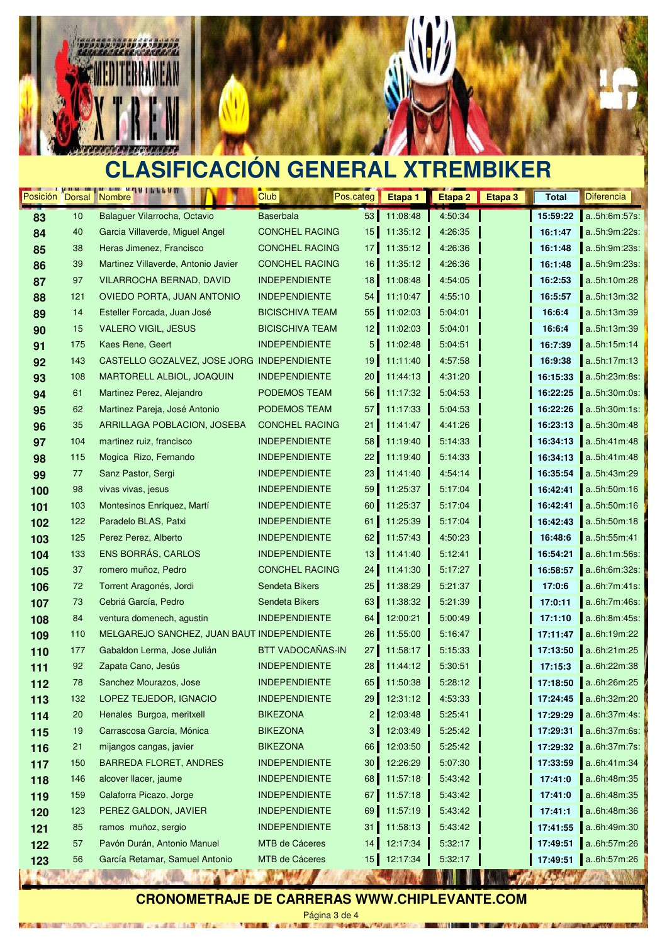

MOTOR/TIME 20

 $-4.3635$ 



# **CLASIFICACIÓN GENERAL XTREMBIKER**

| 11:08:48<br>4:50:34<br>Balaguer Vilarrocha, Octavio<br><b>Baserbala</b><br>53<br>15:59:22<br>a5h:6m:57s:<br>10<br>83<br><b>CONCHEL RACING</b><br>40<br>15<br>11:35:12<br>16:1:47<br>a5h:9m:22s:<br>84<br>Garcia Villaverde, Miguel Angel<br>4:26:35<br>38<br>Heras Jimenez, Francisco<br><b>CONCHEL RACING</b><br>11:35:12<br>4:26:36<br>16:1:48<br>a5h:9m:23s:<br>17 <sup>1</sup><br>85<br><b>CONCHEL RACING</b><br>16<br>Martinez Villaverde, Antonio Javier<br>11:35:12<br>4:26:36<br>a5h:9m:23s:<br>39<br>16:1:48<br>86<br>97<br>VILARROCHA BERNAD, DAVID<br><b>INDEPENDIENTE</b><br>18<br>11:08:48<br>16:2:53<br>a5h:10m:28<br>4:54:05<br>87<br>OVIEDO PORTA, JUAN ANTONIO<br><b>INDEPENDIENTE</b><br>54<br>11:10:47<br>4:55:10<br>16:5:57<br>a5h:13m:32<br>121<br>88<br>a5h:13m:39<br>14<br><b>BICISCHIVA TEAM</b><br>55<br>11:02:03<br>Esteller Forcada, Juan José<br>5:04:01<br>16:6:4<br>89<br>15<br><b>VALERO VIGIL, JESUS</b><br><b>BICISCHIVA TEAM</b><br>11:02:03<br>5:04:01<br>16:6:4<br>a5h:13m:39<br>12 <sub>1</sub><br>90<br>5 <sub>l</sub><br>Kaes Rene, Geert<br><b>INDEPENDIENTE</b><br>11:02:48<br>a5h:15m:14<br>175<br>5:04:51<br>16:7:39<br>91<br>143<br>CASTELLO GOZALVEZ, JOSE JORG INDEPENDIENTE<br>19<br>16:9:38<br>a5h:17m:13<br>11:11:40<br>4:57:58<br>92<br><b>INDEPENDIENTE</b><br>a5h:23m:8s:<br>108<br>MARTORELL ALBIOL, JOAQUIN<br>20 <sub>1</sub><br>11:44:13<br>4:31:20<br>16:15:33<br>93<br>PODEMOS TEAM<br>56<br>11:17:32<br>a5h:30m:0s:<br>61<br>Martinez Perez, Alejandro<br>5:04:53<br>16:22:25<br>94<br>16:22:26<br>a5h:30m:1s:<br>62<br>Martinez Pareja, José Antonio<br>PODEMOS TEAM<br>57<br>11:17:33<br>5:04:53<br>95<br>a5h:30m:48<br>35<br><b>ARRILLAGA POBLACION, JOSEBA</b><br><b>CONCHEL RACING</b><br>21<br>11:41:47<br>4:41:26<br>16:23:13<br>96<br>104<br><b>INDEPENDIENTE</b><br>58<br>11:19:40<br>16:34:13<br>a5h:41m:48<br>martinez ruiz, francisco<br>5:14:33<br>97<br>16:34:13<br><b>INDEPENDIENTE</b><br>11:19:40<br>a.5h:41m:48<br>115<br>Mogica Rizo, Fernando<br>22 <br>5:14:33<br>98<br><b>INDEPENDIENTE</b><br>23<br>16:35:54<br>a5h:43m:29<br>77<br>Sanz Pastor, Sergi<br>11:41:40<br>4:54:14<br>99<br>98<br><b>INDEPENDIENTE</b><br>59<br>11:25:37<br>5:17:04<br>16:42:41<br>a.5h:50m:16<br>vivas vivas, jesus<br>100<br><b>INDEPENDIENTE</b><br>60<br>11:25:37<br>16:42:41<br>a5h:50m:16<br>103<br>Montesinos Enríquez, Martí<br>5:17:04<br>101<br>122<br>Paradelo BLAS, Patxi<br><b>INDEPENDIENTE</b><br>61<br>11:25:39<br>5:17:04<br>16:42:43<br>a5h:50m:18<br>102<br>125<br><b>INDEPENDIENTE</b><br>62<br>11:57:43<br>4:50:23<br>16:48:6<br>a5h:55m:41<br>Perez Perez, Alberto<br>103<br>ENS BORRÁS, CARLOS<br>133<br><b>INDEPENDIENTE</b><br>13<br>5:12:41<br>a6h:1m:56s:<br>11:41:40<br>16:54:21<br>104<br>37<br>romero muñoz, Pedro<br><b>CONCHEL RACING</b><br>24<br>11:41:30<br>5:17:27<br>16:58:57<br>a6h:6m:32s:<br>105<br>Torrent Aragonés, Jordi<br>Sendeta Bikers<br>25<br>11:38:29<br>5:21:37<br>17:0:6<br>a6h:7m:41s:<br>72<br>106<br>Cebriá García, Pedro<br>Sendeta Bikers<br>63<br>a6h:7m:46s:<br>73<br>11:38:32<br>5:21:39<br>17:0:11<br>107<br><b>INDEPENDIENTE</b><br>12:00:21<br>5:00:49<br>a6h:8m:45s:<br>84<br>ventura domenech, agustin<br>64<br>17:1:10<br>108<br>a6h:19m:22<br>MELGAREJO SANCHEZ, JUAN BAUT INDEPENDIENTE<br>26<br>11:55:00<br>5:16:47<br>109<br>110<br>17:11:47<br>BTT VADOCAÑAS-IN<br>a6h:21m:25<br>27<br>11:58:17<br>5:15:33<br>17:13:50<br>177<br>Gabaldon Lerma, Jose Julián<br>110<br>Zapata Cano, Jesús<br><b>INDEPENDIENTE</b><br>28<br>11:44:12<br>5:30:51<br>a6h:22m:38<br>92<br>17:15:3<br>111<br>17:18:50<br>a6h:26m:25<br>Sanchez Mourazos, Jose<br><b>INDEPENDIENTE</b><br>65<br>11:50:38<br>78<br>5:28:12<br>112<br><b>INDEPENDIENTE</b><br>132<br>LOPEZ TEJEDOR, IGNACIO<br>29<br>12:31:12<br>4:53:33<br>17:24:45<br>a6h:32m:20<br>113<br>$\overline{2}$<br>12:03:48<br>a6h:37m:4s:<br>Henales Burgoa, meritxell<br><b>BIKEZONA</b><br>5:25:41<br>17:29:29<br>20<br>114<br>19<br>Carrascosa García, Mónica<br><b>BIKEZONA</b><br>3 <sup>1</sup><br>12:03:49<br>5:25:42<br>17:29:31<br>a6h:37m:6s:<br>115<br>17:29:32<br><b>BIKEZONA</b><br>66<br>12:03:50<br>5:25:42<br>a6h:37m:7s:<br>21<br>mijangos cangas, javier<br>116<br>a6h:41m:34<br><b>BARREDA FLORET, ANDRES</b><br><b>INDEPENDIENTE</b><br>30 <sub>o</sub><br>12:26:29<br>5:07:30<br>17:33:59<br>150<br>117<br><b>INDEPENDIENTE</b><br>11:57:18<br>a6h:48m:35<br>146<br>alcover llacer, jaume<br>68<br>5:43:42<br>17:41:0<br>118<br>Calaforra Picazo, Jorge<br>11:57:18<br>a6h:48m:35<br>159<br><b>INDEPENDIENTE</b><br>67<br>5:43:42<br>17:41:0<br>119<br>123<br>PEREZ GALDON, JAVIER<br><b>INDEPENDIENTE</b><br>69<br>11:57:19<br>5:43:42<br>17:41:1<br>a6h:48m:36<br>120<br>11:58:13<br>5:43:42<br>a6h:49m:30<br>85<br>ramos muñoz, sergio<br><b>INDEPENDIENTE</b><br>31<br>17:41:55<br>121<br>$57\,$<br>Pavón Durán, Antonio Manuel<br>MTB de Cáceres<br>12:17:34<br>5:32:17<br>17:49:51<br>a6h:57m:26<br>14<br>122<br>17:49:51 a6h:57m:26<br>García Retamar, Samuel Antonio<br>MTB de Cáceres<br>15<br>12:17:34<br>56<br>5:32:17<br>123 | Posición Dorsal | <u><b>The Contract of Alberta III</b></u><br>Nombre | Club | Pos.categ | Etapa 1 | Etapa <sub>2</sub> | Etapa 3 | <b>Total</b> | <b>Diferencia</b>   |
|----------------------------------------------------------------------------------------------------------------------------------------------------------------------------------------------------------------------------------------------------------------------------------------------------------------------------------------------------------------------------------------------------------------------------------------------------------------------------------------------------------------------------------------------------------------------------------------------------------------------------------------------------------------------------------------------------------------------------------------------------------------------------------------------------------------------------------------------------------------------------------------------------------------------------------------------------------------------------------------------------------------------------------------------------------------------------------------------------------------------------------------------------------------------------------------------------------------------------------------------------------------------------------------------------------------------------------------------------------------------------------------------------------------------------------------------------------------------------------------------------------------------------------------------------------------------------------------------------------------------------------------------------------------------------------------------------------------------------------------------------------------------------------------------------------------------------------------------------------------------------------------------------------------------------------------------------------------------------------------------------------------------------------------------------------------------------------------------------------------------------------------------------------------------------------------------------------------------------------------------------------------------------------------------------------------------------------------------------------------------------------------------------------------------------------------------------------------------------------------------------------------------------------------------------------------------------------------------------------------------------------------------------------------------------------------------------------------------------------------------------------------------------------------------------------------------------------------------------------------------------------------------------------------------------------------------------------------------------------------------------------------------------------------------------------------------------------------------------------------------------------------------------------------------------------------------------------------------------------------------------------------------------------------------------------------------------------------------------------------------------------------------------------------------------------------------------------------------------------------------------------------------------------------------------------------------------------------------------------------------------------------------------------------------------------------------------------------------------------------------------------------------------------------------------------------------------------------------------------------------------------------------------------------------------------------------------------------------------------------------------------------------------------------------------------------------------------------------------------------------------------------------------------------------------------------------------------------------------------------------------------------------------------------------------------------------------------------------------------------------------------------------------------------------------------------------------------------------------------------------------------------------------------------------------------------------------------------------------------------------------------------------------------------------------------------------------------------------------------------------------------------------------------------------------------------------------------------------------------------------------------------------------------------------------------------------------------------------------------------------------------------------------------------------------------------------------------------------------------------------------------------|-----------------|-----------------------------------------------------|------|-----------|---------|--------------------|---------|--------------|---------------------|
|                                                                                                                                                                                                                                                                                                                                                                                                                                                                                                                                                                                                                                                                                                                                                                                                                                                                                                                                                                                                                                                                                                                                                                                                                                                                                                                                                                                                                                                                                                                                                                                                                                                                                                                                                                                                                                                                                                                                                                                                                                                                                                                                                                                                                                                                                                                                                                                                                                                                                                                                                                                                                                                                                                                                                                                                                                                                                                                                                                                                                                                                                                                                                                                                                                                                                                                                                                                                                                                                                                                                                                                                                                                                                                                                                                                                                                                                                                                                                                                                                                                                                                                                                                                                                                                                                                                                                                                                                                                                                                                                                                                                                                                                                                                                                                                                                                                                                                                                                                                                                                                                                                                                        |                 |                                                     |      |           |         |                    |         |              |                     |
|                                                                                                                                                                                                                                                                                                                                                                                                                                                                                                                                                                                                                                                                                                                                                                                                                                                                                                                                                                                                                                                                                                                                                                                                                                                                                                                                                                                                                                                                                                                                                                                                                                                                                                                                                                                                                                                                                                                                                                                                                                                                                                                                                                                                                                                                                                                                                                                                                                                                                                                                                                                                                                                                                                                                                                                                                                                                                                                                                                                                                                                                                                                                                                                                                                                                                                                                                                                                                                                                                                                                                                                                                                                                                                                                                                                                                                                                                                                                                                                                                                                                                                                                                                                                                                                                                                                                                                                                                                                                                                                                                                                                                                                                                                                                                                                                                                                                                                                                                                                                                                                                                                                                        |                 |                                                     |      |           |         |                    |         |              |                     |
|                                                                                                                                                                                                                                                                                                                                                                                                                                                                                                                                                                                                                                                                                                                                                                                                                                                                                                                                                                                                                                                                                                                                                                                                                                                                                                                                                                                                                                                                                                                                                                                                                                                                                                                                                                                                                                                                                                                                                                                                                                                                                                                                                                                                                                                                                                                                                                                                                                                                                                                                                                                                                                                                                                                                                                                                                                                                                                                                                                                                                                                                                                                                                                                                                                                                                                                                                                                                                                                                                                                                                                                                                                                                                                                                                                                                                                                                                                                                                                                                                                                                                                                                                                                                                                                                                                                                                                                                                                                                                                                                                                                                                                                                                                                                                                                                                                                                                                                                                                                                                                                                                                                                        |                 |                                                     |      |           |         |                    |         |              |                     |
|                                                                                                                                                                                                                                                                                                                                                                                                                                                                                                                                                                                                                                                                                                                                                                                                                                                                                                                                                                                                                                                                                                                                                                                                                                                                                                                                                                                                                                                                                                                                                                                                                                                                                                                                                                                                                                                                                                                                                                                                                                                                                                                                                                                                                                                                                                                                                                                                                                                                                                                                                                                                                                                                                                                                                                                                                                                                                                                                                                                                                                                                                                                                                                                                                                                                                                                                                                                                                                                                                                                                                                                                                                                                                                                                                                                                                                                                                                                                                                                                                                                                                                                                                                                                                                                                                                                                                                                                                                                                                                                                                                                                                                                                                                                                                                                                                                                                                                                                                                                                                                                                                                                                        |                 |                                                     |      |           |         |                    |         |              |                     |
|                                                                                                                                                                                                                                                                                                                                                                                                                                                                                                                                                                                                                                                                                                                                                                                                                                                                                                                                                                                                                                                                                                                                                                                                                                                                                                                                                                                                                                                                                                                                                                                                                                                                                                                                                                                                                                                                                                                                                                                                                                                                                                                                                                                                                                                                                                                                                                                                                                                                                                                                                                                                                                                                                                                                                                                                                                                                                                                                                                                                                                                                                                                                                                                                                                                                                                                                                                                                                                                                                                                                                                                                                                                                                                                                                                                                                                                                                                                                                                                                                                                                                                                                                                                                                                                                                                                                                                                                                                                                                                                                                                                                                                                                                                                                                                                                                                                                                                                                                                                                                                                                                                                                        |                 |                                                     |      |           |         |                    |         |              |                     |
|                                                                                                                                                                                                                                                                                                                                                                                                                                                                                                                                                                                                                                                                                                                                                                                                                                                                                                                                                                                                                                                                                                                                                                                                                                                                                                                                                                                                                                                                                                                                                                                                                                                                                                                                                                                                                                                                                                                                                                                                                                                                                                                                                                                                                                                                                                                                                                                                                                                                                                                                                                                                                                                                                                                                                                                                                                                                                                                                                                                                                                                                                                                                                                                                                                                                                                                                                                                                                                                                                                                                                                                                                                                                                                                                                                                                                                                                                                                                                                                                                                                                                                                                                                                                                                                                                                                                                                                                                                                                                                                                                                                                                                                                                                                                                                                                                                                                                                                                                                                                                                                                                                                                        |                 |                                                     |      |           |         |                    |         |              |                     |
|                                                                                                                                                                                                                                                                                                                                                                                                                                                                                                                                                                                                                                                                                                                                                                                                                                                                                                                                                                                                                                                                                                                                                                                                                                                                                                                                                                                                                                                                                                                                                                                                                                                                                                                                                                                                                                                                                                                                                                                                                                                                                                                                                                                                                                                                                                                                                                                                                                                                                                                                                                                                                                                                                                                                                                                                                                                                                                                                                                                                                                                                                                                                                                                                                                                                                                                                                                                                                                                                                                                                                                                                                                                                                                                                                                                                                                                                                                                                                                                                                                                                                                                                                                                                                                                                                                                                                                                                                                                                                                                                                                                                                                                                                                                                                                                                                                                                                                                                                                                                                                                                                                                                        |                 |                                                     |      |           |         |                    |         |              |                     |
|                                                                                                                                                                                                                                                                                                                                                                                                                                                                                                                                                                                                                                                                                                                                                                                                                                                                                                                                                                                                                                                                                                                                                                                                                                                                                                                                                                                                                                                                                                                                                                                                                                                                                                                                                                                                                                                                                                                                                                                                                                                                                                                                                                                                                                                                                                                                                                                                                                                                                                                                                                                                                                                                                                                                                                                                                                                                                                                                                                                                                                                                                                                                                                                                                                                                                                                                                                                                                                                                                                                                                                                                                                                                                                                                                                                                                                                                                                                                                                                                                                                                                                                                                                                                                                                                                                                                                                                                                                                                                                                                                                                                                                                                                                                                                                                                                                                                                                                                                                                                                                                                                                                                        |                 |                                                     |      |           |         |                    |         |              |                     |
|                                                                                                                                                                                                                                                                                                                                                                                                                                                                                                                                                                                                                                                                                                                                                                                                                                                                                                                                                                                                                                                                                                                                                                                                                                                                                                                                                                                                                                                                                                                                                                                                                                                                                                                                                                                                                                                                                                                                                                                                                                                                                                                                                                                                                                                                                                                                                                                                                                                                                                                                                                                                                                                                                                                                                                                                                                                                                                                                                                                                                                                                                                                                                                                                                                                                                                                                                                                                                                                                                                                                                                                                                                                                                                                                                                                                                                                                                                                                                                                                                                                                                                                                                                                                                                                                                                                                                                                                                                                                                                                                                                                                                                                                                                                                                                                                                                                                                                                                                                                                                                                                                                                                        |                 |                                                     |      |           |         |                    |         |              |                     |
|                                                                                                                                                                                                                                                                                                                                                                                                                                                                                                                                                                                                                                                                                                                                                                                                                                                                                                                                                                                                                                                                                                                                                                                                                                                                                                                                                                                                                                                                                                                                                                                                                                                                                                                                                                                                                                                                                                                                                                                                                                                                                                                                                                                                                                                                                                                                                                                                                                                                                                                                                                                                                                                                                                                                                                                                                                                                                                                                                                                                                                                                                                                                                                                                                                                                                                                                                                                                                                                                                                                                                                                                                                                                                                                                                                                                                                                                                                                                                                                                                                                                                                                                                                                                                                                                                                                                                                                                                                                                                                                                                                                                                                                                                                                                                                                                                                                                                                                                                                                                                                                                                                                                        |                 |                                                     |      |           |         |                    |         |              |                     |
|                                                                                                                                                                                                                                                                                                                                                                                                                                                                                                                                                                                                                                                                                                                                                                                                                                                                                                                                                                                                                                                                                                                                                                                                                                                                                                                                                                                                                                                                                                                                                                                                                                                                                                                                                                                                                                                                                                                                                                                                                                                                                                                                                                                                                                                                                                                                                                                                                                                                                                                                                                                                                                                                                                                                                                                                                                                                                                                                                                                                                                                                                                                                                                                                                                                                                                                                                                                                                                                                                                                                                                                                                                                                                                                                                                                                                                                                                                                                                                                                                                                                                                                                                                                                                                                                                                                                                                                                                                                                                                                                                                                                                                                                                                                                                                                                                                                                                                                                                                                                                                                                                                                                        |                 |                                                     |      |           |         |                    |         |              |                     |
|                                                                                                                                                                                                                                                                                                                                                                                                                                                                                                                                                                                                                                                                                                                                                                                                                                                                                                                                                                                                                                                                                                                                                                                                                                                                                                                                                                                                                                                                                                                                                                                                                                                                                                                                                                                                                                                                                                                                                                                                                                                                                                                                                                                                                                                                                                                                                                                                                                                                                                                                                                                                                                                                                                                                                                                                                                                                                                                                                                                                                                                                                                                                                                                                                                                                                                                                                                                                                                                                                                                                                                                                                                                                                                                                                                                                                                                                                                                                                                                                                                                                                                                                                                                                                                                                                                                                                                                                                                                                                                                                                                                                                                                                                                                                                                                                                                                                                                                                                                                                                                                                                                                                        |                 |                                                     |      |           |         |                    |         |              |                     |
|                                                                                                                                                                                                                                                                                                                                                                                                                                                                                                                                                                                                                                                                                                                                                                                                                                                                                                                                                                                                                                                                                                                                                                                                                                                                                                                                                                                                                                                                                                                                                                                                                                                                                                                                                                                                                                                                                                                                                                                                                                                                                                                                                                                                                                                                                                                                                                                                                                                                                                                                                                                                                                                                                                                                                                                                                                                                                                                                                                                                                                                                                                                                                                                                                                                                                                                                                                                                                                                                                                                                                                                                                                                                                                                                                                                                                                                                                                                                                                                                                                                                                                                                                                                                                                                                                                                                                                                                                                                                                                                                                                                                                                                                                                                                                                                                                                                                                                                                                                                                                                                                                                                                        |                 |                                                     |      |           |         |                    |         |              |                     |
|                                                                                                                                                                                                                                                                                                                                                                                                                                                                                                                                                                                                                                                                                                                                                                                                                                                                                                                                                                                                                                                                                                                                                                                                                                                                                                                                                                                                                                                                                                                                                                                                                                                                                                                                                                                                                                                                                                                                                                                                                                                                                                                                                                                                                                                                                                                                                                                                                                                                                                                                                                                                                                                                                                                                                                                                                                                                                                                                                                                                                                                                                                                                                                                                                                                                                                                                                                                                                                                                                                                                                                                                                                                                                                                                                                                                                                                                                                                                                                                                                                                                                                                                                                                                                                                                                                                                                                                                                                                                                                                                                                                                                                                                                                                                                                                                                                                                                                                                                                                                                                                                                                                                        |                 |                                                     |      |           |         |                    |         |              |                     |
|                                                                                                                                                                                                                                                                                                                                                                                                                                                                                                                                                                                                                                                                                                                                                                                                                                                                                                                                                                                                                                                                                                                                                                                                                                                                                                                                                                                                                                                                                                                                                                                                                                                                                                                                                                                                                                                                                                                                                                                                                                                                                                                                                                                                                                                                                                                                                                                                                                                                                                                                                                                                                                                                                                                                                                                                                                                                                                                                                                                                                                                                                                                                                                                                                                                                                                                                                                                                                                                                                                                                                                                                                                                                                                                                                                                                                                                                                                                                                                                                                                                                                                                                                                                                                                                                                                                                                                                                                                                                                                                                                                                                                                                                                                                                                                                                                                                                                                                                                                                                                                                                                                                                        |                 |                                                     |      |           |         |                    |         |              |                     |
|                                                                                                                                                                                                                                                                                                                                                                                                                                                                                                                                                                                                                                                                                                                                                                                                                                                                                                                                                                                                                                                                                                                                                                                                                                                                                                                                                                                                                                                                                                                                                                                                                                                                                                                                                                                                                                                                                                                                                                                                                                                                                                                                                                                                                                                                                                                                                                                                                                                                                                                                                                                                                                                                                                                                                                                                                                                                                                                                                                                                                                                                                                                                                                                                                                                                                                                                                                                                                                                                                                                                                                                                                                                                                                                                                                                                                                                                                                                                                                                                                                                                                                                                                                                                                                                                                                                                                                                                                                                                                                                                                                                                                                                                                                                                                                                                                                                                                                                                                                                                                                                                                                                                        |                 |                                                     |      |           |         |                    |         |              |                     |
|                                                                                                                                                                                                                                                                                                                                                                                                                                                                                                                                                                                                                                                                                                                                                                                                                                                                                                                                                                                                                                                                                                                                                                                                                                                                                                                                                                                                                                                                                                                                                                                                                                                                                                                                                                                                                                                                                                                                                                                                                                                                                                                                                                                                                                                                                                                                                                                                                                                                                                                                                                                                                                                                                                                                                                                                                                                                                                                                                                                                                                                                                                                                                                                                                                                                                                                                                                                                                                                                                                                                                                                                                                                                                                                                                                                                                                                                                                                                                                                                                                                                                                                                                                                                                                                                                                                                                                                                                                                                                                                                                                                                                                                                                                                                                                                                                                                                                                                                                                                                                                                                                                                                        |                 |                                                     |      |           |         |                    |         |              |                     |
|                                                                                                                                                                                                                                                                                                                                                                                                                                                                                                                                                                                                                                                                                                                                                                                                                                                                                                                                                                                                                                                                                                                                                                                                                                                                                                                                                                                                                                                                                                                                                                                                                                                                                                                                                                                                                                                                                                                                                                                                                                                                                                                                                                                                                                                                                                                                                                                                                                                                                                                                                                                                                                                                                                                                                                                                                                                                                                                                                                                                                                                                                                                                                                                                                                                                                                                                                                                                                                                                                                                                                                                                                                                                                                                                                                                                                                                                                                                                                                                                                                                                                                                                                                                                                                                                                                                                                                                                                                                                                                                                                                                                                                                                                                                                                                                                                                                                                                                                                                                                                                                                                                                                        |                 |                                                     |      |           |         |                    |         |              |                     |
|                                                                                                                                                                                                                                                                                                                                                                                                                                                                                                                                                                                                                                                                                                                                                                                                                                                                                                                                                                                                                                                                                                                                                                                                                                                                                                                                                                                                                                                                                                                                                                                                                                                                                                                                                                                                                                                                                                                                                                                                                                                                                                                                                                                                                                                                                                                                                                                                                                                                                                                                                                                                                                                                                                                                                                                                                                                                                                                                                                                                                                                                                                                                                                                                                                                                                                                                                                                                                                                                                                                                                                                                                                                                                                                                                                                                                                                                                                                                                                                                                                                                                                                                                                                                                                                                                                                                                                                                                                                                                                                                                                                                                                                                                                                                                                                                                                                                                                                                                                                                                                                                                                                                        |                 |                                                     |      |           |         |                    |         |              |                     |
|                                                                                                                                                                                                                                                                                                                                                                                                                                                                                                                                                                                                                                                                                                                                                                                                                                                                                                                                                                                                                                                                                                                                                                                                                                                                                                                                                                                                                                                                                                                                                                                                                                                                                                                                                                                                                                                                                                                                                                                                                                                                                                                                                                                                                                                                                                                                                                                                                                                                                                                                                                                                                                                                                                                                                                                                                                                                                                                                                                                                                                                                                                                                                                                                                                                                                                                                                                                                                                                                                                                                                                                                                                                                                                                                                                                                                                                                                                                                                                                                                                                                                                                                                                                                                                                                                                                                                                                                                                                                                                                                                                                                                                                                                                                                                                                                                                                                                                                                                                                                                                                                                                                                        |                 |                                                     |      |           |         |                    |         |              |                     |
|                                                                                                                                                                                                                                                                                                                                                                                                                                                                                                                                                                                                                                                                                                                                                                                                                                                                                                                                                                                                                                                                                                                                                                                                                                                                                                                                                                                                                                                                                                                                                                                                                                                                                                                                                                                                                                                                                                                                                                                                                                                                                                                                                                                                                                                                                                                                                                                                                                                                                                                                                                                                                                                                                                                                                                                                                                                                                                                                                                                                                                                                                                                                                                                                                                                                                                                                                                                                                                                                                                                                                                                                                                                                                                                                                                                                                                                                                                                                                                                                                                                                                                                                                                                                                                                                                                                                                                                                                                                                                                                                                                                                                                                                                                                                                                                                                                                                                                                                                                                                                                                                                                                                        |                 |                                                     |      |           |         |                    |         |              |                     |
|                                                                                                                                                                                                                                                                                                                                                                                                                                                                                                                                                                                                                                                                                                                                                                                                                                                                                                                                                                                                                                                                                                                                                                                                                                                                                                                                                                                                                                                                                                                                                                                                                                                                                                                                                                                                                                                                                                                                                                                                                                                                                                                                                                                                                                                                                                                                                                                                                                                                                                                                                                                                                                                                                                                                                                                                                                                                                                                                                                                                                                                                                                                                                                                                                                                                                                                                                                                                                                                                                                                                                                                                                                                                                                                                                                                                                                                                                                                                                                                                                                                                                                                                                                                                                                                                                                                                                                                                                                                                                                                                                                                                                                                                                                                                                                                                                                                                                                                                                                                                                                                                                                                                        |                 |                                                     |      |           |         |                    |         |              |                     |
|                                                                                                                                                                                                                                                                                                                                                                                                                                                                                                                                                                                                                                                                                                                                                                                                                                                                                                                                                                                                                                                                                                                                                                                                                                                                                                                                                                                                                                                                                                                                                                                                                                                                                                                                                                                                                                                                                                                                                                                                                                                                                                                                                                                                                                                                                                                                                                                                                                                                                                                                                                                                                                                                                                                                                                                                                                                                                                                                                                                                                                                                                                                                                                                                                                                                                                                                                                                                                                                                                                                                                                                                                                                                                                                                                                                                                                                                                                                                                                                                                                                                                                                                                                                                                                                                                                                                                                                                                                                                                                                                                                                                                                                                                                                                                                                                                                                                                                                                                                                                                                                                                                                                        |                 |                                                     |      |           |         |                    |         |              |                     |
|                                                                                                                                                                                                                                                                                                                                                                                                                                                                                                                                                                                                                                                                                                                                                                                                                                                                                                                                                                                                                                                                                                                                                                                                                                                                                                                                                                                                                                                                                                                                                                                                                                                                                                                                                                                                                                                                                                                                                                                                                                                                                                                                                                                                                                                                                                                                                                                                                                                                                                                                                                                                                                                                                                                                                                                                                                                                                                                                                                                                                                                                                                                                                                                                                                                                                                                                                                                                                                                                                                                                                                                                                                                                                                                                                                                                                                                                                                                                                                                                                                                                                                                                                                                                                                                                                                                                                                                                                                                                                                                                                                                                                                                                                                                                                                                                                                                                                                                                                                                                                                                                                                                                        |                 |                                                     |      |           |         |                    |         |              |                     |
|                                                                                                                                                                                                                                                                                                                                                                                                                                                                                                                                                                                                                                                                                                                                                                                                                                                                                                                                                                                                                                                                                                                                                                                                                                                                                                                                                                                                                                                                                                                                                                                                                                                                                                                                                                                                                                                                                                                                                                                                                                                                                                                                                                                                                                                                                                                                                                                                                                                                                                                                                                                                                                                                                                                                                                                                                                                                                                                                                                                                                                                                                                                                                                                                                                                                                                                                                                                                                                                                                                                                                                                                                                                                                                                                                                                                                                                                                                                                                                                                                                                                                                                                                                                                                                                                                                                                                                                                                                                                                                                                                                                                                                                                                                                                                                                                                                                                                                                                                                                                                                                                                                                                        |                 |                                                     |      |           |         |                    |         |              |                     |
|                                                                                                                                                                                                                                                                                                                                                                                                                                                                                                                                                                                                                                                                                                                                                                                                                                                                                                                                                                                                                                                                                                                                                                                                                                                                                                                                                                                                                                                                                                                                                                                                                                                                                                                                                                                                                                                                                                                                                                                                                                                                                                                                                                                                                                                                                                                                                                                                                                                                                                                                                                                                                                                                                                                                                                                                                                                                                                                                                                                                                                                                                                                                                                                                                                                                                                                                                                                                                                                                                                                                                                                                                                                                                                                                                                                                                                                                                                                                                                                                                                                                                                                                                                                                                                                                                                                                                                                                                                                                                                                                                                                                                                                                                                                                                                                                                                                                                                                                                                                                                                                                                                                                        |                 |                                                     |      |           |         |                    |         |              |                     |
|                                                                                                                                                                                                                                                                                                                                                                                                                                                                                                                                                                                                                                                                                                                                                                                                                                                                                                                                                                                                                                                                                                                                                                                                                                                                                                                                                                                                                                                                                                                                                                                                                                                                                                                                                                                                                                                                                                                                                                                                                                                                                                                                                                                                                                                                                                                                                                                                                                                                                                                                                                                                                                                                                                                                                                                                                                                                                                                                                                                                                                                                                                                                                                                                                                                                                                                                                                                                                                                                                                                                                                                                                                                                                                                                                                                                                                                                                                                                                                                                                                                                                                                                                                                                                                                                                                                                                                                                                                                                                                                                                                                                                                                                                                                                                                                                                                                                                                                                                                                                                                                                                                                                        |                 |                                                     |      |           |         |                    |         |              |                     |
|                                                                                                                                                                                                                                                                                                                                                                                                                                                                                                                                                                                                                                                                                                                                                                                                                                                                                                                                                                                                                                                                                                                                                                                                                                                                                                                                                                                                                                                                                                                                                                                                                                                                                                                                                                                                                                                                                                                                                                                                                                                                                                                                                                                                                                                                                                                                                                                                                                                                                                                                                                                                                                                                                                                                                                                                                                                                                                                                                                                                                                                                                                                                                                                                                                                                                                                                                                                                                                                                                                                                                                                                                                                                                                                                                                                                                                                                                                                                                                                                                                                                                                                                                                                                                                                                                                                                                                                                                                                                                                                                                                                                                                                                                                                                                                                                                                                                                                                                                                                                                                                                                                                                        |                 |                                                     |      |           |         |                    |         |              |                     |
|                                                                                                                                                                                                                                                                                                                                                                                                                                                                                                                                                                                                                                                                                                                                                                                                                                                                                                                                                                                                                                                                                                                                                                                                                                                                                                                                                                                                                                                                                                                                                                                                                                                                                                                                                                                                                                                                                                                                                                                                                                                                                                                                                                                                                                                                                                                                                                                                                                                                                                                                                                                                                                                                                                                                                                                                                                                                                                                                                                                                                                                                                                                                                                                                                                                                                                                                                                                                                                                                                                                                                                                                                                                                                                                                                                                                                                                                                                                                                                                                                                                                                                                                                                                                                                                                                                                                                                                                                                                                                                                                                                                                                                                                                                                                                                                                                                                                                                                                                                                                                                                                                                                                        |                 |                                                     |      |           |         |                    |         |              |                     |
|                                                                                                                                                                                                                                                                                                                                                                                                                                                                                                                                                                                                                                                                                                                                                                                                                                                                                                                                                                                                                                                                                                                                                                                                                                                                                                                                                                                                                                                                                                                                                                                                                                                                                                                                                                                                                                                                                                                                                                                                                                                                                                                                                                                                                                                                                                                                                                                                                                                                                                                                                                                                                                                                                                                                                                                                                                                                                                                                                                                                                                                                                                                                                                                                                                                                                                                                                                                                                                                                                                                                                                                                                                                                                                                                                                                                                                                                                                                                                                                                                                                                                                                                                                                                                                                                                                                                                                                                                                                                                                                                                                                                                                                                                                                                                                                                                                                                                                                                                                                                                                                                                                                                        |                 |                                                     |      |           |         |                    |         |              |                     |
|                                                                                                                                                                                                                                                                                                                                                                                                                                                                                                                                                                                                                                                                                                                                                                                                                                                                                                                                                                                                                                                                                                                                                                                                                                                                                                                                                                                                                                                                                                                                                                                                                                                                                                                                                                                                                                                                                                                                                                                                                                                                                                                                                                                                                                                                                                                                                                                                                                                                                                                                                                                                                                                                                                                                                                                                                                                                                                                                                                                                                                                                                                                                                                                                                                                                                                                                                                                                                                                                                                                                                                                                                                                                                                                                                                                                                                                                                                                                                                                                                                                                                                                                                                                                                                                                                                                                                                                                                                                                                                                                                                                                                                                                                                                                                                                                                                                                                                                                                                                                                                                                                                                                        |                 |                                                     |      |           |         |                    |         |              |                     |
|                                                                                                                                                                                                                                                                                                                                                                                                                                                                                                                                                                                                                                                                                                                                                                                                                                                                                                                                                                                                                                                                                                                                                                                                                                                                                                                                                                                                                                                                                                                                                                                                                                                                                                                                                                                                                                                                                                                                                                                                                                                                                                                                                                                                                                                                                                                                                                                                                                                                                                                                                                                                                                                                                                                                                                                                                                                                                                                                                                                                                                                                                                                                                                                                                                                                                                                                                                                                                                                                                                                                                                                                                                                                                                                                                                                                                                                                                                                                                                                                                                                                                                                                                                                                                                                                                                                                                                                                                                                                                                                                                                                                                                                                                                                                                                                                                                                                                                                                                                                                                                                                                                                                        |                 |                                                     |      |           |         |                    |         |              |                     |
|                                                                                                                                                                                                                                                                                                                                                                                                                                                                                                                                                                                                                                                                                                                                                                                                                                                                                                                                                                                                                                                                                                                                                                                                                                                                                                                                                                                                                                                                                                                                                                                                                                                                                                                                                                                                                                                                                                                                                                                                                                                                                                                                                                                                                                                                                                                                                                                                                                                                                                                                                                                                                                                                                                                                                                                                                                                                                                                                                                                                                                                                                                                                                                                                                                                                                                                                                                                                                                                                                                                                                                                                                                                                                                                                                                                                                                                                                                                                                                                                                                                                                                                                                                                                                                                                                                                                                                                                                                                                                                                                                                                                                                                                                                                                                                                                                                                                                                                                                                                                                                                                                                                                        |                 |                                                     |      |           |         |                    |         |              |                     |
|                                                                                                                                                                                                                                                                                                                                                                                                                                                                                                                                                                                                                                                                                                                                                                                                                                                                                                                                                                                                                                                                                                                                                                                                                                                                                                                                                                                                                                                                                                                                                                                                                                                                                                                                                                                                                                                                                                                                                                                                                                                                                                                                                                                                                                                                                                                                                                                                                                                                                                                                                                                                                                                                                                                                                                                                                                                                                                                                                                                                                                                                                                                                                                                                                                                                                                                                                                                                                                                                                                                                                                                                                                                                                                                                                                                                                                                                                                                                                                                                                                                                                                                                                                                                                                                                                                                                                                                                                                                                                                                                                                                                                                                                                                                                                                                                                                                                                                                                                                                                                                                                                                                                        |                 |                                                     |      |           |         |                    |         |              |                     |
|                                                                                                                                                                                                                                                                                                                                                                                                                                                                                                                                                                                                                                                                                                                                                                                                                                                                                                                                                                                                                                                                                                                                                                                                                                                                                                                                                                                                                                                                                                                                                                                                                                                                                                                                                                                                                                                                                                                                                                                                                                                                                                                                                                                                                                                                                                                                                                                                                                                                                                                                                                                                                                                                                                                                                                                                                                                                                                                                                                                                                                                                                                                                                                                                                                                                                                                                                                                                                                                                                                                                                                                                                                                                                                                                                                                                                                                                                                                                                                                                                                                                                                                                                                                                                                                                                                                                                                                                                                                                                                                                                                                                                                                                                                                                                                                                                                                                                                                                                                                                                                                                                                                                        |                 |                                                     |      |           |         |                    |         |              |                     |
|                                                                                                                                                                                                                                                                                                                                                                                                                                                                                                                                                                                                                                                                                                                                                                                                                                                                                                                                                                                                                                                                                                                                                                                                                                                                                                                                                                                                                                                                                                                                                                                                                                                                                                                                                                                                                                                                                                                                                                                                                                                                                                                                                                                                                                                                                                                                                                                                                                                                                                                                                                                                                                                                                                                                                                                                                                                                                                                                                                                                                                                                                                                                                                                                                                                                                                                                                                                                                                                                                                                                                                                                                                                                                                                                                                                                                                                                                                                                                                                                                                                                                                                                                                                                                                                                                                                                                                                                                                                                                                                                                                                                                                                                                                                                                                                                                                                                                                                                                                                                                                                                                                                                        |                 |                                                     |      |           |         |                    |         |              |                     |
|                                                                                                                                                                                                                                                                                                                                                                                                                                                                                                                                                                                                                                                                                                                                                                                                                                                                                                                                                                                                                                                                                                                                                                                                                                                                                                                                                                                                                                                                                                                                                                                                                                                                                                                                                                                                                                                                                                                                                                                                                                                                                                                                                                                                                                                                                                                                                                                                                                                                                                                                                                                                                                                                                                                                                                                                                                                                                                                                                                                                                                                                                                                                                                                                                                                                                                                                                                                                                                                                                                                                                                                                                                                                                                                                                                                                                                                                                                                                                                                                                                                                                                                                                                                                                                                                                                                                                                                                                                                                                                                                                                                                                                                                                                                                                                                                                                                                                                                                                                                                                                                                                                                                        |                 |                                                     |      |           |         |                    |         |              |                     |
|                                                                                                                                                                                                                                                                                                                                                                                                                                                                                                                                                                                                                                                                                                                                                                                                                                                                                                                                                                                                                                                                                                                                                                                                                                                                                                                                                                                                                                                                                                                                                                                                                                                                                                                                                                                                                                                                                                                                                                                                                                                                                                                                                                                                                                                                                                                                                                                                                                                                                                                                                                                                                                                                                                                                                                                                                                                                                                                                                                                                                                                                                                                                                                                                                                                                                                                                                                                                                                                                                                                                                                                                                                                                                                                                                                                                                                                                                                                                                                                                                                                                                                                                                                                                                                                                                                                                                                                                                                                                                                                                                                                                                                                                                                                                                                                                                                                                                                                                                                                                                                                                                                                                        |                 |                                                     |      |           |         |                    |         |              |                     |
|                                                                                                                                                                                                                                                                                                                                                                                                                                                                                                                                                                                                                                                                                                                                                                                                                                                                                                                                                                                                                                                                                                                                                                                                                                                                                                                                                                                                                                                                                                                                                                                                                                                                                                                                                                                                                                                                                                                                                                                                                                                                                                                                                                                                                                                                                                                                                                                                                                                                                                                                                                                                                                                                                                                                                                                                                                                                                                                                                                                                                                                                                                                                                                                                                                                                                                                                                                                                                                                                                                                                                                                                                                                                                                                                                                                                                                                                                                                                                                                                                                                                                                                                                                                                                                                                                                                                                                                                                                                                                                                                                                                                                                                                                                                                                                                                                                                                                                                                                                                                                                                                                                                                        |                 |                                                     |      |           |         |                    |         |              |                     |
|                                                                                                                                                                                                                                                                                                                                                                                                                                                                                                                                                                                                                                                                                                                                                                                                                                                                                                                                                                                                                                                                                                                                                                                                                                                                                                                                                                                                                                                                                                                                                                                                                                                                                                                                                                                                                                                                                                                                                                                                                                                                                                                                                                                                                                                                                                                                                                                                                                                                                                                                                                                                                                                                                                                                                                                                                                                                                                                                                                                                                                                                                                                                                                                                                                                                                                                                                                                                                                                                                                                                                                                                                                                                                                                                                                                                                                                                                                                                                                                                                                                                                                                                                                                                                                                                                                                                                                                                                                                                                                                                                                                                                                                                                                                                                                                                                                                                                                                                                                                                                                                                                                                                        |                 |                                                     |      |           |         |                    |         |              |                     |
| <b>NUT YANG GALAX</b><br><b>TAN MARINE</b>                                                                                                                                                                                                                                                                                                                                                                                                                                                                                                                                                                                                                                                                                                                                                                                                                                                                                                                                                                                                                                                                                                                                                                                                                                                                                                                                                                                                                                                                                                                                                                                                                                                                                                                                                                                                                                                                                                                                                                                                                                                                                                                                                                                                                                                                                                                                                                                                                                                                                                                                                                                                                                                                                                                                                                                                                                                                                                                                                                                                                                                                                                                                                                                                                                                                                                                                                                                                                                                                                                                                                                                                                                                                                                                                                                                                                                                                                                                                                                                                                                                                                                                                                                                                                                                                                                                                                                                                                                                                                                                                                                                                                                                                                                                                                                                                                                                                                                                                                                                                                                                                                             | Augusta         |                                                     |      |           |         |                    |         |              | <b>CARLO CHANGE</b> |

#### **CRONOMETRAJE DE CARRERAS WWW.CHIPLEVANTE.COM**

**TO A REGIST AND PARTY**